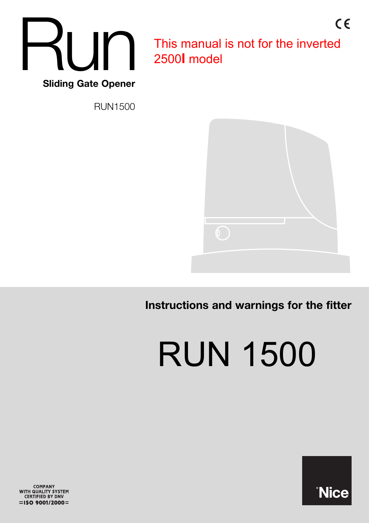

This manual is not for the inverted 2500**I** model

 $C \in$ 

RUN1500



**Instructions and warnings for the fitter**

RUN 1500



COMPANY<br>WITH QUALITY SYSTEM<br>CERTIFIED BY DNV  $=$ ISO 9001/2000=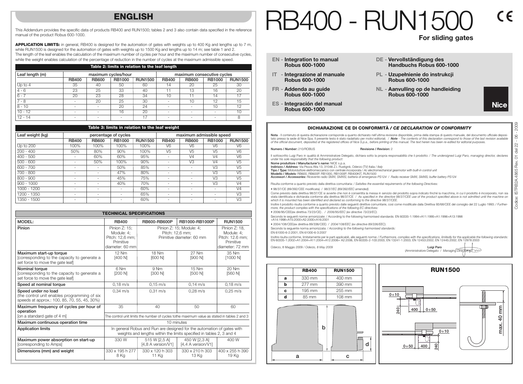## **ENGLISH**

This Addendum provides the specific data of products RB400 and RUN1500; tables 2 and 3 also contain data specified in the reference manual of the product Robus 600-1000.

**APPLICATION LIMITS:** in general, RB400 is designed for the automation of gates with weights up to 400 Kg and lengths up to 7 m, while RUN1500 is designed for the automation of gates with weights up to 1500 Kg and lengths up to 14 m; see table 1 and 2. The length of the leaf enables the calculation of the maximum number of cycles per hour and the maximum number of consecutive cycles, while the weight enables calculation of the percentage of reduction in the number of cycles at the maximum admissible speed.

| Table 2: limits in relation to the leaf length |              |                          |               |                |              |                            |               |                |  |
|------------------------------------------------|--------------|--------------------------|---------------|----------------|--------------|----------------------------|---------------|----------------|--|
| Leaf length (m)                                |              | maximum cycles/hour      |               |                |              | maximum consecutive cycles |               |                |  |
|                                                | <b>RB400</b> | <b>RB600</b>             | <b>RB1000</b> | <b>RUN1500</b> | <b>RB400</b> | <b>RB600</b>               | <b>RB1000</b> | <b>RUN1500</b> |  |
| Up to $4$                                      | 35           | 40                       | 50            | 60             | 14           | 20                         | 25            | 30             |  |
| $4 - 6$                                        | 23           | 25                       | 33            | 40             |              | 13                         | 16            | 20             |  |
| $6 - 7$                                        | 20           | 23                       | 28            | 34             | 10           |                            | 14            | 17             |  |
| $7 - 8$                                        |              | 20                       | 25            | 30             | $\sim$       | 10                         | 12            | 15             |  |
| $8 - 10$                                       | $\sim$       | $\overline{\phantom{a}}$ | 20            | 24             | $\sim$       | $\sim$                     | 10            | 12             |  |
| $10 - 12$                                      | -            | $\overline{\phantom{a}}$ | 16            | 20             | $\sim$       |                            | -             | 10             |  |
| $12 - 14$                                      | $\sim$       | ۰                        | $\sim$        | 17             | $\sim$       |                            |               |                |  |

| Table 3: limits in relation to the leaf weight |              |              |                      |                |                          |                |                |                |
|------------------------------------------------|--------------|--------------|----------------------|----------------|--------------------------|----------------|----------------|----------------|
| Leaf weight (kg)                               |              |              | percentage of cycles |                | maximum admissible speed |                |                |                |
|                                                | <b>RB400</b> | <b>RB600</b> | <b>RB1000</b>        | <b>RUN1500</b> | <b>RB400</b>             | <b>RB600</b>   | RB1000         | <b>RUN1500</b> |
| Up to 200                                      | 100%         | 100%         | 100%                 | 100%           | V <sub>6</sub>           | V <sub>6</sub> | V <sub>6</sub> | V <sub>6</sub> |
| $200 - 400$                                    | 50%          | 80%          | 90%                  | 100%           | V <sub>5</sub>           | V <sub>5</sub> | V <sub>5</sub> | V <sub>6</sub> |
| $400 - 500$                                    |              | 60%          | 60%                  | 95%            |                          | V <sub>4</sub> | V <sub>4</sub> | V <sub>6</sub> |
| $500 - 600$                                    |              | 50%          | 100%                 | 90%            |                          | V <sub>3</sub> | V <sub>4</sub> | V <sub>5</sub> |
| $600 - 700$                                    | ٠            | $\sim$       | 50%                  | 85%            | $\sim$                   |                | V3             | V <sub>5</sub> |
| $700 - 800$                                    | ٠            | $\sim$       | 47%                  | 80%            | ٠                        | ۰              | V3             | V <sub>5</sub> |
| $800 - 900$                                    | ٠            | $\sim$       | 45%                  | 75%            | $\sim$                   |                | V3             | V <sub>5</sub> |
| $900 - 1000$                                   | ٠            | $\sim$       | 40%                  | 70%            | $\overline{a}$           | ۰              | V3             | V <sub>4</sub> |
| $1000 - 1200$                                  | ٠            | $\sim$       |                      | 60%            | $\sim$                   |                | ٠              | V <sub>4</sub> |
| 1200 - 1350                                    | ٠            | $\sim$       |                      | 65%            | $\sim$                   |                | ٠              | V3             |
| 1350 - 1500                                    | ٠            | $\sim$       |                      | 60%            | $\sim$                   |                | ٠              | V <sub>3</sub> |

| <b>TECHNICAL SPECIFICATIONS</b>                                                                                     |                                                                                                                                                |                                                                          |                                                                                              |                                                                                |  |  |
|---------------------------------------------------------------------------------------------------------------------|------------------------------------------------------------------------------------------------------------------------------------------------|--------------------------------------------------------------------------|----------------------------------------------------------------------------------------------|--------------------------------------------------------------------------------|--|--|
| MODEL:                                                                                                              | <b>RB400</b>                                                                                                                                   | RB600-RB600P                                                             | RB1000-RB1000P                                                                               | <b>RUN1500</b>                                                                 |  |  |
| Pinion                                                                                                              | Pinion Z: 15:<br>Module: 4:<br>Pitch: 12.6 mm:<br>Primitive<br>diameter: 60 mm                                                                 | Pinion Z: 15; Module: 4;<br>Pitch: 12.6 mm:<br>Primitive diameter: 60 mm |                                                                                              | Pinion Z: 18.<br>Module: 4:<br>Pitch: 12.6 mm:<br>Primitive<br>diameter: 72 mm |  |  |
| Maximum start-up torque<br>[corresponding to the capacity to generate a<br>set force to move the gate leaf          | 12 Nm<br>[400 N]                                                                                                                               | 18 Nm<br>[600 N]                                                         | 27 Nm<br>[900 N]                                                                             | 35 Nm<br>[1000 N]                                                              |  |  |
| Nominal torque<br>[corresponding to the capacity to generate a<br>set force to move the gate leaf                   | 6 Nm<br>[200 N]                                                                                                                                | 9 Nm<br>[300 N]                                                          | 15 Nm<br>[500 N]                                                                             | 20 Nm<br>[560 N]                                                               |  |  |
| Speed at nominal torque                                                                                             | $0.18 \text{ m/s}$                                                                                                                             | $0.15 \text{ m/s}$                                                       | $0.14 \text{ m/s}$                                                                           | $0.18 \text{ m/s}$                                                             |  |  |
| Speed under no load<br>(the control unit enables programming of six<br>speeds at approx.: 100, 85, 70, 55, 45, 30%) | $0.34 \text{ m/s}$                                                                                                                             | $0.31 \text{ m/s}$                                                       | $0.28 \text{ m/s}$                                                                           | $0.25 \text{ m/s}$                                                             |  |  |
| Maximum frequency of cycles per hour of<br>operation                                                                | 35                                                                                                                                             | 40                                                                       | 50                                                                                           | 60                                                                             |  |  |
| [on a standard gate of 4 m]                                                                                         |                                                                                                                                                |                                                                          | The control unit limits the number of cycles tothe maximum value as stated in tables 2 and 3 |                                                                                |  |  |
| Maximum continuous operation time                                                                                   | 10 minutes                                                                                                                                     |                                                                          |                                                                                              |                                                                                |  |  |
| <b>Application limits</b>                                                                                           | In general Robus and Run are designed for the automation of gates with<br>weights and lengths within the limits specified in tables 2, 3 and 4 |                                                                          |                                                                                              |                                                                                |  |  |
| Maximum power absorption on start-up<br>[corresponding to Amps]                                                     | 330 W                                                                                                                                          | 515 W [2,5 A]<br>[4,8 A version/V1]                                      | 450 W [2,3 A]<br>[4,4 A version/V1]                                                          | 400 W                                                                          |  |  |
| Dimensions (mm) and weight                                                                                          | 330 x 195 h 277<br>8 Kg                                                                                                                        | 330 x 120 h 303<br>11 Kg                                                 | 330 x 210 h 303<br>13 Kg                                                                     | 400 x 255 h 390<br>19 Kg                                                       |  |  |

# 3400 - RUN151

**For sliding gates**

- **EN - Integration to manual Robus 600-1000**
- **IT - Integrazione al manuale Robus 600-1000**
- **FR - Addenda au guide Robus 600-1000**
- **ES - Integración del manual Robus 600-1000**
- **DE - Vervollständigung des Handbuchs Robus 600-1000**
- **PL - Uzupełnienie do instrukcji Robus 600-1000**
- **NL - Aanvulling op de handleiding Robus 600-1000**
- **Nice**

## **DICHIARAZIONE CE DI CONFORMITÀ** */ CE DECLARATION OF CONFORMITY*

**Nota** - Il contenuto di questa dichiarazione corrisponde a quanto dichiarato nell'ultima revisione disponibile, prima della stampa di questo manuale, del documento ufficiale depositato presso la sede di Nice Spa. Il presente testo è stato riadattato per motivi editoriali. / *Note - The contents of this declaration correspond to those of the last revision available of the official document, deposited at the registered offices of Nice S.p.a., before printing of this manual. The text herein has been re-edited for editorial purposes.*

#### **Numero /** *Number***:** 210/ROBUS **Revisione /** *Revision***:** 2

Il sottoscritto Luigi Paro in qualità di Amministratore Delegato, dichiara sotto la propria responsabilità che il prodotto: / *The undersigned Luigi Paro, managing director, declares under his sole responsibility that the following product:*

**Nome produttore /** *Manufacturer's name:* NICE s.p.a. **Indirizzo /** *Address:* Via Pezza Alta 13, 31046 Z.I. Rustignè, Oderzo (TV) Italia / *Italy*

**Tipo /** *Type:* Motoriduttore elettromeccanico con centrale incorporata / *Ac electromechanical gearmotor with built-in control unit*

**Modello /** *Models:* RB600, RB600P, RB1000, RB1000P, RB400KIT, RUN1500

**Accessori /** *Accessories: Ricevente radio SMXI, SMXIS; batteria di emergenza PS124* / *Radio receiver SMXI, SMXIS; buffer battery PS124*

Risulta conforme a quanto previsto dalla direttiva comunitaria: / *Satisfies the essential requirements of the following Directives:*

• 98/37/CE (89/392/CEE modificata) / *98/37/EC (89/392/EEC amended).*

Come previsto dalla direttiva 98/37/CE si avverte che non è consentita la messa in servizio del prodotto sopra indicato finché la macchina, in cui il prodotto è incorporato, non sia stata identificata e dichiarata conforme alla direttiva 98/37/CE / *As specified in the directive 98/37/CEE use of the product specified above is not admitted until the machine on*

*which it is mounted has been identified and declared as conforming to the directive 98/37/CEE.* Inoltre il prodotto risulta conforme a quanto previsto dalle seguenti direttive comunitarie, così come modificate dalla Direttiva 93/68/CEE del consiglio del 22 Luglio 1993: */ Furthermore, the product complies with the specifications of the following EC directives:*

• 2006/95/CEE(ex direttiva 73/23/CE) *. / 2006/95/EEC (ex directive 73/23/EC).*

Secondo le seguenti norme armonizzate: / According to the following harmonised standards: EN 60335-1:1994+A11:1995+A1:1996+A13:1998

+A14:1998+A15:2000+A2:2000+A16:2001

• 2004/108/CEE(ex direttiva 89/336/CEE) */ 2004/108/EEC (ex directive 89/336/EEC).* Secondo la seguente norma armonizzata: / *According to the following harmonised standards:*

EN 61000-6-2:2001; EN 61000-6-3:2007

Inoltre risulta conforme, limitatamente per le parti applicabili, alle seguenti norme: */ Furthermore, complies with the specifications, limitedly for the applicable the following standards:* EN 60335-1:2002+A1:2004+A11:2004+A12:2006+ A2:2006, EN 60335-2-103:2003, EN 13241-1:2003; EN 12453:2002; EN 12445:2002; EN 12978:2003

Oderzo, 8 Maggio 2009 / *Oderzo, 8 May 2009* **Luigi Paro**

(Amministratore Delegato / *Managing Director*)





 $C \in$ 

Codice: I

2009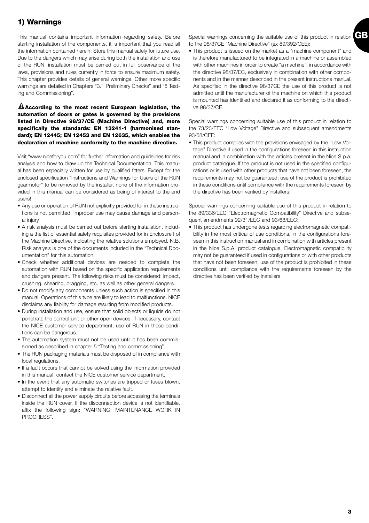# **1) Warnings**

This manual contains important information regarding safety. Before starting installation of the components, it is important that you read all the information contained herein. Store this manual safely for future use. Due to the dangers which may arise during both the installation and use of the RUN, installation must be carried out in full observance of the laws, provisions and rules currently in force to ensure maximum safety. This chapter provides details of general warnings. Other more specific warnings are detailed in Chapters "3.1 Preliminary Checks" and "5 Testing and Commissioning".

#### **According to the most recent European legislation, the !automation of doors or gates is governed by the provisions listed in Directive 98/37/CE (Machine Directive) and, more specifically the standards: EN 13241-1 (harmonised standard); EN 12445; EN 12453 and EN 12635, which enables the declaration of machine conformity to the machine directive.**

Visit "www.niceforyou.com" for further information and guidelines for risk analysis and how to draw up the Technical Documentation. This manual has been especially written for use by qualified fitters. Except for the enclosed specification "Instructions and Warnings for Users of the RUN gearmotor" to be removed by the installer, none of the information provided in this manual can be considered as being of interest to the end users!

- Any use or operation of RUN not explicitly provided for in these instructions is not permitted. Improper use may cause damage and personal injury.
- A risk analysis must be carried out before starting installation, including a the list of essential safety requisites provided for in Enclosure I of the Machine Directive, indicating the relative solutions employed. N.B. Risk analysis is one of the documents included in the "Technical Documentation" for this automation.
- Check whether additional devices are needed to complete the automation with RUN based on the specific application requirements and dangers present. The following risks must be considered: impact, crushing, shearing, dragging, etc. as well as other general dangers.
- Do not modify any components unless such action is specified in this manual. Operations of this type are likely to lead to malfunctions. NICE disclaims any liability for damage resulting from modified products.
- During installation and use, ensure that solid objects or liquids do not penetrate the control unit or other open devices. If necessary, contact the NICE customer service department; use of RUN in these conditions can be dangerous.
- The automation system must not be used until it has been commissioned as described in chapter 5 "Testing and commissioning".
- The RUN packaging materials must be disposed of in compliance with local regulations.
- If a fault occurs that cannot be solved using the information provided in this manual, contact the NICE customer service department.
- In the event that any automatic switches are tripped or fuses blown, attempt to identify and eliminate the relative fault.
- Disconnect all the power supply circuits before accessing the terminals inside the RUN cover. If the disconnection device is not identifiable, affix the following sign: "WARNING: MAINTENANCE WORK IN PROGRESS".

**GB** Special warnings concerning the suitable use of this product in relation to the 98/37CE "Machine Directive" (ex 89/392/CEE):

• This product is issued on the market as a "machine component" and is therefore manufactured to be integrated in a machine or assembled with other machines in order to create "a machine", in accordance with the directive 98/37/EC, exclusively in combination with other components and in the manner described in the present instructions manual. As specified in the directive 98/37CE the use of this product is not admitted until the manufacturer of the machine on which this product is mounted has identified and declared it as conforming to the directive 98/37/CE.

Special warnings concerning suitable use of this product in relation to the 73/23/EEC "Low Voltage" Directive and subsequent amendments 93/68/CEE:

• This product complies with the provisions envisaged by the "Low Voltage" Directive if used in the configurations foreseen in this instruction manual and in combination with the articles present in the Nice S.p.a. product catalogue. If the product is not used in the specified configurations or is used with other products that have not been foreseen, the requirements may not be guaranteed; use of the product is prohibited in these conditions until compliance with the requirements foreseen by the directive has been verified by installers.

Special warnings concerning suitable use of this product in relation to the 89/336/EEC "Electromagnetic Compatibility" Directive and subsequent amendments 92/31/EEC and 93/68/EEC:

• This product has undergone tests regarding electromagnetic compatibility in the most critical of use conditions, in the configurations foreseen in this instruction manual and in combination with articles present in the Nice S.p.A. product catalogue. Electromagnetic compatibility may not be guaranteed if used in configurations or with other products that have not been foreseen; use of the product is prohibited in these conditions until compliance with the requirements foreseen by the directive has been verified by installers.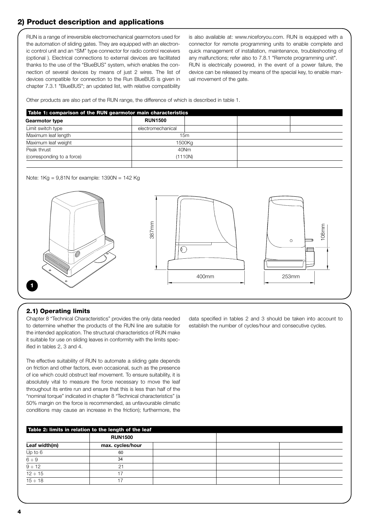# **2) Product description and applications**

RUN is a range of irreversible electromechanical gearmotors used for the automation of sliding gates. They are equipped with an electronic control unit and an "SM" type connector for radio control receivers (optional ). Electrical connections to external devices are facilitated thanks to the use of the "BlueBUS" system, which enables the connection of several devices by means of just 2 wires. The list of devices compatible for connection to the Run BlueBUS is given in chapter 7.3.1 "BlueBUS"; an updated list, with relative compatibility

is also available at: www.niceforyou.com. RUN is equipped with a connector for remote programming units to enable complete and quick management of installation, maintenance, troubleshooting of any malfunctions; refer also to 7.8.1 "Remote programming unit". RUN is electrically powered, in the event of a power failure, the device can be released by means of the special key, to enable manual movement of the gate.

Other products are also part of the RUN range, the difference of which is described in table 1.

| Table 1: comparison of the RUN gearmotor main characteristics |  |                |  |  |  |  |
|---------------------------------------------------------------|--|----------------|--|--|--|--|
| <b>RUN1500</b>                                                |  |                |  |  |  |  |
| electromechanical                                             |  |                |  |  |  |  |
|                                                               |  |                |  |  |  |  |
| 1500Kg                                                        |  |                |  |  |  |  |
| 40Nm                                                          |  |                |  |  |  |  |
|                                                               |  |                |  |  |  |  |
|                                                               |  | 15m<br>(1110N) |  |  |  |  |

Note:  $1$ Kg =  $9,81$ N for example:  $1390N = 142$  Kg



## **2.1) Operating limits**

Chapter 8 "Technical Characteristics" provides the only data needed to determine whether the products of the RUN line are suitable for the intended application. The structural characteristics of RUN make it suitable for use on sliding leaves in conformity with the limits specified in tables 2, 3 and 4.

The effective suitability of RUN to automate a sliding gate depends on friction and other factors, even occasional, such as the presence of ice which could obstruct leaf movement. To ensure suitability, it is absolutely vital to measure the force necessary to move the leaf throughout its entire run and ensure that this is less than half of the "nominal torque" indicated in chapter 8 "Technical characteristics" (a 50% margin on the force is recommended, as unfavourable climatic conditions may cause an increase in the friction); furthermore, the data specified in tables 2 and 3 should be taken into account to establish the number of cycles/hour and consecutive cycles.

|                              | <b>RUN1500</b>   |  |  |
|------------------------------|------------------|--|--|
| Leaf width(m)                | max. cycles/hour |  |  |
| Up to 6                      | 60               |  |  |
| $\frac{6 \div 9}{9 \div 12}$ | 34               |  |  |
|                              | 21               |  |  |
| $12 \div 15$                 | 17               |  |  |
| $15 \div 18$                 | 17               |  |  |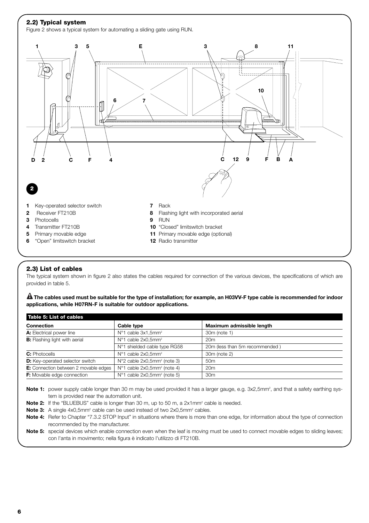

## **2.3) List of cables**

The typical system shown in figure 2 also states the cables required for connection of the various devices, the specifications of which are provided in table 5.

 $\blacksquare$  The cables used must be suitable for the type of installation; for example, an H03VV-F type cable is recommended for indoor **applications, while H07RN-F is suitable for outdoor applications.**

| Table 5: List of cables                |                                         |                                |
|----------------------------------------|-----------------------------------------|--------------------------------|
| <b>Connection</b>                      | Cable type                              | Maximum admissible length      |
| A: Electrical power line               | $N°1$ cable $3x1,5mm²$                  | 30m (note 1)                   |
| <b>B:</b> Flashing light with aerial   | $N°1$ cable $2x0.5$ mm <sup>2</sup>     | 20 <sub>m</sub>                |
|                                        | N°1 shielded cable type RG58            | 20m (less than 5m recommended) |
| <b>C:</b> Photocells                   | N°1 cable 2x0,5mm <sup>2</sup>          | 30m (note 2)                   |
| <b>D:</b> Key-operated selector switch | $N°2$ cable $2x0,5mm²$ (note 3)         | 50 <sub>m</sub>                |
| E: Connection between 2 movable edges  | N°1 cable 2x0,5mm <sup>2</sup> (note 4) | 20 <sub>m</sub>                |
| <b>F:</b> Movable edge connection      | $N°1$ cable $2x0,5mm²$ (note 5)         | 30 <sub>m</sub>                |

Note 1: power supply cable longer than 30 m may be used provided it has a larger gauge, e.g. 3x2,5mm<sup>2</sup>, and that a safety earthing system is provided near the automation unit.

- **Note 2:** If the "BLUEBUS" cable is longer than 30 m, up to 50 m, a 2x1mm<sup>2</sup> cable is needed.
- **Note 3:** A single 4x0,5mm<sup>2</sup> cable can be used instead of two 2x0,5mm<sup>2</sup> cables.

**Note 4:** Refer to Chapter "7.3.2 STOP Input" in situations where there is more than one edge, for information about the type of connection recommended by the manufacturer.

**Note 5:** special devices which enable connection even when the leaf is moving must be used to connect movable edges to sliding leaves; con l'anta in movimento; nella figura è indicato l'utilizzo di FT210B.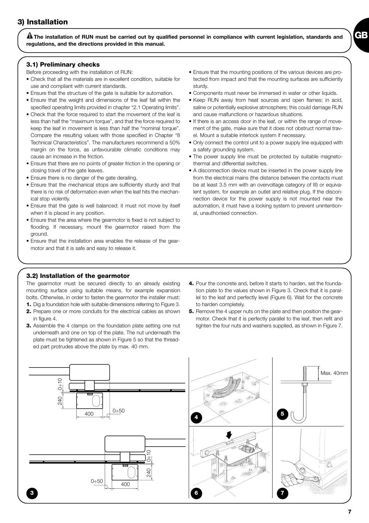**The installation of RUN must be carried out by qualified personnel in compliance with current legislation, standards and ! regulations, and the directions provided in this manual.**

## **3.1) Preliminary checks**

Before proceeding with the installation of RUN:

- Check that all the materials are in excellent condition, suitable for use and compliant with current standards.
- Ensure that the structure of the gate is suitable for automation.
- Ensure that the weight and dimensions of the leaf fall within the specified operating limits provided in chapter "2.1 Operating limits".
- Check that the force required to start the movement of the leaf is less than half the "maximum torque", and that the force required to keep the leaf in movement is less than half the "nominal torque". Compare the resulting values with those specified in Chapter "8 Technical Characteristics". The manufacturers recommend a 50% margin on the force, as unfavourable climatic conditions may cause an increase in the friction.
- Ensure that there are no points of greater friction in the opening or closing travel of the gate leaves.
- Ensure there is no danger of the gate derailing.
- Ensure that the mechanical stops are sufficiently sturdy and that there is no risk of deformation even when the leaf hits the mechanical stop violently.
- Ensure that the gate is well balanced: it must not move by itself when it is placed in any position.
- Ensure that the area where the gearmotor is fixed is not subject to flooding. If necessary, mount the gearmotor raised from the ground.
- Ensure that the installation area enables the release of the gearmotor and that it is safe and easy to release it.

• Ensure that the mounting positions of the various devices are protected from impact and that the mounting surfaces are sufficiently sturdy.

**GB**

- Components must never be immersed in water or other liquids.
- Keep RUN away from heat sources and open flames; in acid, saline or potentially explosive atmosphere; this could damage RUN and cause malfunctions or hazardous situations.
- If there is an access door in the leaf, or within the range of movement of the gate, make sure that it does not obstruct normal travel. Mount a suitable interlock system if necessary.
- Only connect the control unit to a power supply line equipped with a safety grounding system.
- The power supply line must be protected by suitable magnetothermal and differential switches.
- A disconnection device must be inserted in the power supply line from the electrical mains (the distance between the contacts must be at least 3.5 mm with an overvoltage category of III) or equivalent system, for example an outlet and relative plug. If the disconnection device for the power supply is not mounted near the automation, it must have a locking system to prevent unintentional, unauthorised connection.

## **3.2) Installation of the gearmotor**

The gearmotor must be secured directly to an already existing mounting surface using suitable means, for example expansion bolts. Otherwise, in order to fasten the gearmotor the installer must:

- **1.** Dig a foundation hole with suitable dimensions referring to Figure 3.
- **2.** Prepare one or more conduits for the electrical cables as shown in figure 4.
- **3.** Assemble the 4 clamps on the foundation plate setting one nut underneath and one on top of the plate. The nut underneath the plate must be tightened as shown in Figure 5 so that the threaded part protrudes above the plate by max. 40 mm.
- **4.** Pour the concrete and, before it starts to harden, set the foundation plate to the values shown in Figure 3. Check that it is parallel to the leaf and perfectly level (Figure 6). Wait for the concrete to harden completely.
- **5.** Remove the 4 upper nuts on the plate and then position the gearmotor. Check that it is perfectly parallel to the leaf, then refit and tighten the four nuts and washers supplied, as shown in Figure 7.

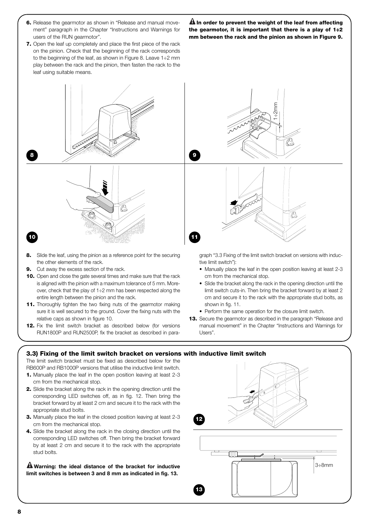- **6.** Release the gearmotor as shown in "Release and manual movement" paragraph in the Chapter "Instructions and Warnings for users of the RUN gearmotor".
- **7.** Open the leaf up completely and place the first piece of the rack on the pinion. Check that the beginning of the rack corresponds to the beginning of the leaf, as shown in Figure 8. Leave 1÷2 mm play between the rack and the pinion, then fasten the rack to the leaf using suitable means.

**In order to prevent the weight of the leaf from affecting ! the gearmotor, it is important that there is a play of 1÷2 mm between the rack and the pinion as shown in Figure 9.**



- **8.** Slide the leaf, using the pinion as a reference point for the securing the other elements of the rack.
- **9.** Cut away the excess section of the rack.
- **10.** Open and close the gate several times and make sure that the rack is aligned with the pinion with a maximum tolerance of 5 mm. Moreover, check that the play of 1÷2 mm has been respected along the entire length between the pinion and the rack.
- **11.** Thoroughly tighten the two fixing nuts of the gearmotor making sure it is well secured to the ground. Cover the fixing nuts with the relative caps as shown in figure 10.
- **12.** Fix the limit switch bracket as described below (for versions RUN1800P and RUN2500P, fix the bracket as described in para-

graph "3.3 Fixing of the limit switch bracket on versions with inductive limit switch"):

- Manually place the leaf in the open position leaving at least 2-3 cm from the mechanical stop.
- Slide the bracket along the rack in the opening direction until the limit switch cuts-in. Then bring the bracket forward by at least 2 cm and secure it to the rack with the appropriate stud bolts, as shown in fig. 11.
- Perform the same operation for the closure limit switch.
- **13.** Secure the gearmotor as described in the paragraph "Release and manual movement" in the Chapter "Instructions and Warnings for Users".

## **3.3) Fixing of the limit switch bracket on versions with inductive limit switch**

The limit switch bracket must be fixed as described below for the RB600P and RB1000P versions that utilise the inductive limit switch.

- **1.** Manually place the leaf in the open position leaving at least 2-3 cm from the mechanical stop.
- **2.** Slide the bracket along the rack in the opening direction until the corresponding LED switches off, as in fig. 12. Then bring the bracket forward by at least 2 cm and secure it to the rack with the appropriate stud bolts.
- **3.** Manually place the leaf in the closed position leaving at least 2-3 cm from the mechanical stop.
- **4.** Slide the bracket along the rack in the closing direction until the corresponding LED switches off. Then bring the bracket forward by at least 2 cm and secure it to the rack with the appropriate stud bolts.

**Warning: the ideal distance of the bracket for inductive ! limit switches is between 3 and 8 mm as indicated in fig. 13.**

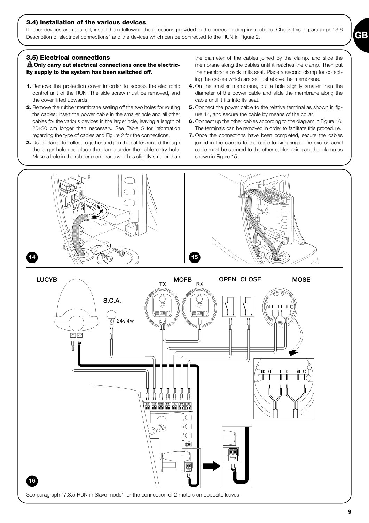#### **3.4) Installation of the various devices**

If other devices are required, install them following the directions provided in the corresponding instructions. Check this in paragraph "3.6 Description of electrical connections" and the devices which can be connected to the RUN in Figure 2.

#### **3.5) Electrical connections**

**Only carry out electrical connections once the electric-! ity supply to the system has been switched off.** 

- **1.** Remove the protection cover in order to access the electronic control unit of the RUN. The side screw must be removed, and the cover lifted upwards.
- **2.** Remove the rubber membrane sealing off the two holes for routing the cables; insert the power cable in the smaller hole and all other cables for the various devices in the larger hole, leaving a length of 20÷30 cm longer than necessary. See Table 5 for information regarding the type of cables and Figure 2 for the connections.
- **3.** Use a clamp to collect together and join the cables routed through the larger hole and place the clamp under the cable entry hole. Make a hole in the rubber membrane which is slightly smaller than

the diameter of the cables joined by the clamp, and slide the membrane along the cables until it reaches the clamp. Then put the membrane back in its seat. Place a second clamp for collecting the cables which are set just above the membrane.

- **4.** On the smaller membrane, cut a hole slightly smaller than the diameter of the power cable and slide the membrane along the cable until it fits into its seat.
- **5.** Connect the power cable to the relative terminal as shown in figure 14, and secure the cable by means of the collar.
- **6.** Connect up the other cables according to the diagram in Figure 16. The terminals can be removed in order to facilitate this procedure.
- **7.** Once the connections have been completed, secure the cables joined in the clamps to the cable locking rings. The excess aerial cable must be secured to the other cables using another clamp as shown in Figure 15.

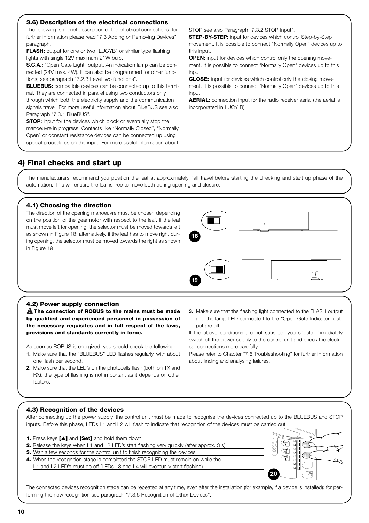## **3.6) Description of the electrical connections**

The following is a brief description of the electrical connections; for further information please read "7.3 Adding or Removing Devices" paragraph.

**FLASH:** output for one or two "LUCYB" or similar type flashing lights with single 12V maximum 21W bulb.

**S.C.A.:** "Open Gate Light" output. An indication lamp can be connected (24V max. 4W). It can also be programmed for other functions; see paragraph "7.2.3 Level two functions".

**BLUEBUS:** compatible devices can be connected up to this terminal. They are connected in parallel using two conductors only, through which both the electricity supply and the communication signals travel. For more useful information about BlueBUS see also Paragraph "7.3.1 BlueBUS".

**STOP:** input for the devices which block or eventually stop the manoeuvre in progress. Contacts like "Normally Closed", "Normally Open" or constant resistance devices can be connected up using special procedures on the input. For more useful information about

STOP see also Paragraph "7.3.2 STOP Input".

**STEP-BY-STEP:** input for devices which control Step-by-Step movement. It is possible to connect "Normally Open" devices up to this input.

**OPEN:** input for devices which control only the opening movement. It is possible to connect "Normally Open" devices up to this input.

**CLOSE:** input for devices which control only the closing movement. It is possible to connect "Normally Open" devices up to this input.

**AERIAL:** connection input for the radio receiver aerial (the aerial is incorporated in LUCY B).

# **4) Final checks and start up**

The manufacturers recommend you position the leaf at approximately half travel before starting the checking and start up phase of the automation. This will ensure the leaf is free to move both during opening and closure.

## **4.1) Choosing the direction**

The direction of the opening manoeuvre must be chosen depending on the position of the gearmotor with respect to the leaf. If the leaf must move left for opening, the selector must be moved towards left as shown in Figure 18; alternatively, if the leaf has to move right during opening, the selector must be moved towards the right as shown in Figure 19



### **4.2) Power supply connection**

**The connection of ROBUS to the mains must be made ! by qualified and experienced personnel in possession of the necessary requisites and in full respect of the laws, provisions and standards currently in force.** 

As soon as ROBUS is energized, you should check the following:

- **1.** Make sure that the "BLUEBUS" LED flashes regularly, with about one flash per second.
- **2.** Make sure that the LED's on the photocells flash (both on TX and RX); the type of flashing is not important as it depends on other factors.
- **3.** Make sure that the flashing light connected to the FLASH output and the lamp LED connected to the "Open Gate Indicator" output are off.

If the above conditions are not satisfied, you should immediately switch off the power supply to the control unit and check the electrical connections more carefully.

Please refer to Chapter "7.6 Troubleshooting" for further information about finding and analysing failures.

## **4.3) Recognition of the devices**

After connecting up the power supply, the control unit must be made to recognise the devices connected up to the BLUEBUS and STOP inputs. Before this phase, LEDs L1 and L2 will flash to indicate that recognition of the devices must be carried out.

| 1. Press keys [A] and [Set] and hold them down                                                  |    |
|-------------------------------------------------------------------------------------------------|----|
| <b>2.</b> Release the keys when L1 and L2 LED's start flashing very quickly (after approx. 3 s) |    |
| <b>3.</b> Wait a few seconds for the control unit to finish recognizing the devices             |    |
| 4. When the recognition stage is completed the STOP LED must remain on while the                |    |
| L1 and L2 LED's must go off (LEDs L3 and L4 will eventually start flashing).                    |    |
|                                                                                                 | 20 |



The connected devices recognition stage can be repeated at any time, even after the installation (for example, if a device is installed); for performing the new recognition see paragraph "7.3.6 Recognition of Other Devices".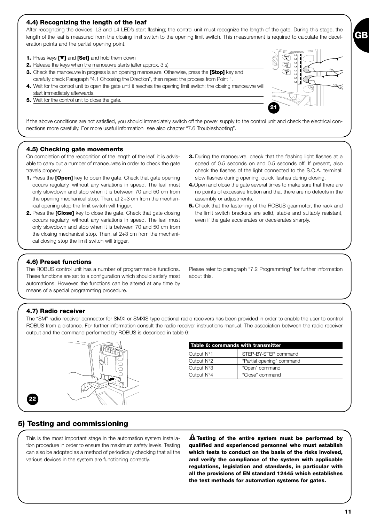## **4.4) Recognizing the length of the leaf**

After recognizing the devices, L3 and L4 LED's start flashing; the control unit must recognize the length of the gate. During this stage, the length of the leaf is measured from the closing limit switch to the opening limit switch. This measurement is required to calculate the deceleration points and the partial opening point.

- **1.** Press keys **[**▼**]** and **[Set]** and hold them down
- **2.** Release the keys when the manoeuvre starts (after approx. 3 s)
- **3.** Check the manoeuvre in progress is an opening manoeuvre. Otherwise, press the **[Stop]** key and carefully check Paragraph "4.1 Choosing the Direction", then repeat the process from Point 1.
- **4.** Wait for the control unit to open the gate until it reaches the opening limit switch; the closing manoeuvre will start immediately afterwards.
- **5.** Wait for the control unit to close the gate.

If the above conditions are not satisfied, you should immediately switch off the power supply to the control unit and check the electrical connections more carefully. For more useful information see also chapter "7.6 Troubleshooting".

## **4.5) Checking gate movements**

On completion of the recognition of the length of the leaf, it is advisable to carry out a number of manoeuvres in order to check the gate travels properly.

- **1.** Press the **[Open]** key to open the gate. Check that gate opening occurs regularly, without any variations in speed. The leaf must only slowdown and stop when it is between 70 and 50 cm from the opening mechanical stop. Then, at 2÷3 cm from the mechanical opening stop the limit switch will trigger.
- **2.** Press the **[Close]** key to close the gate. Check that gate closing occurs regularly, without any variations in speed. The leaf must only slowdown and stop when it is between 70 and 50 cm from the closing mechanical stop. Then, at 2÷3 cm from the mechanical closing stop the limit switch will trigger.
- **3.** During the manoeuvre, check that the flashing light flashes at a speed of 0.5 seconds on and 0.5 seconds off. If present, also check the flashes of the light connected to the S.C.A. terminal: slow flashes during opening, quick flashes during closing.

**21**

- **4.**Open and close the gate several times to make sure that there are no points of excessive friction and that there are no defects in the assembly or adjustments.
- **5.** Check that the fastening of the ROBUS gearmotor, the rack and the limit switch brackets are solid, stable and suitably resistant, even if the gate accelerates or decelerates sharply.

## **4.6) Preset functions**

The ROBUS control unit has a number of programmable functions. These functions are set to a configuration which should satisfy most automations. However, the functions can be altered at any time by means of a special programming procedure.

Please refer to paragraph "7.2 Programming" for further information about this.

## **4.7) Radio receiver**

The "SM" radio receiver connector for SMXI or SMXIS type optional radio receivers has been provided in order to enable the user to control ROBUS from a distance. For further information consult the radio receiver instructions manual. The association between the radio receiver output and the command performed by ROBUS is described in table 6:



| Table 6: commands with transmitter |                           |  |  |  |
|------------------------------------|---------------------------|--|--|--|
| Output N°1                         | STEP-BY-STEP command      |  |  |  |
| Output N°2                         | "Partial opening" command |  |  |  |
| Output N°3                         | "Open" command            |  |  |  |
| Output N°4                         | "Close" command           |  |  |  |

## **5) Testing and commissioning**

This is the most important stage in the automation system installation procedure in order to ensure the maximum safety levels. Testing can also be adopted as a method of periodically checking that all the various devices in the system are functioning correctly.

**Testing of the entire system must be performed by ! qualified and experienced personnel who must establish which tests to conduct on the basis of the risks involved, and verify the compliance of the system with applicable regulations, legislation and standards, in particular with all the provisions of EN standard 12445 which establishes the test methods for automation systems for gates.**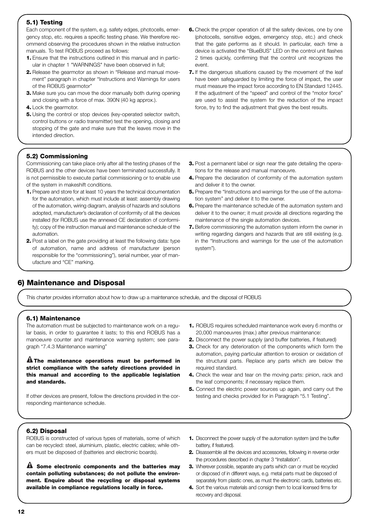## **5.1) Testing**

Each component of the system, e.g. safety edges, photocells, emergency stop, etc. requires a specific testing phase. We therefore recommend observing the procedures shown in the relative instruction manuals. To test ROBUS proceed as follows:

- **1.** Ensure that the instructions outlined in this manual and in particular in chapter 1 "WARNINGS" have been observed in full;
- **2.** Release the gearmotor as shown in "Release and manual movement" paragraph in chapter "Instructions and Warnings for users of the ROBUS gearmotor"
- **3.** Make sure you can move the door manually both during opening and closing with a force of max. 390N (40 kg approx.).
- **4.** Lock the gearmotor.
- **5.** Using the control or stop devices (key-operated selector switch, control buttons or radio transmitter) test the opening, closing and stopping of the gate and make sure that the leaves move in the intended direction.
- **6.** Check the proper operation of all the safety devices, one by one (photocells, sensitive edges, emergency stop, etc.) and check that the gate performs as it should. In particular, each time a device is activated the "BlueBUS" LED on the control unit flashes 2 times quickly, confirming that the control unit recognizes the event.
- **7.** If the dangerous situations caused by the movement of the leaf have been safeguarded by limiting the force of impact, the user must measure the impact force according to EN Standard 12445. If the adjustment of the "speed" and control of the "motor force" are used to assist the system for the reduction of the impact force, try to find the adjustment that gives the best results.

## **5.2) Commissioning**

Commissioning can take place only after all the testing phases of the ROBUS and the other devices have been terminated successfully. It is not permissible to execute partial commissioning or to enable use of the system in makeshift conditions.

- **1.** Prepare and store for at least 10 years the technical documentation for the automation, which must include at least: assembly drawing of the automation, wiring diagram, analysis of hazards and solutions adopted, manufacturer's declaration of conformity of all the devices installed (for ROBUS use the annexed CE declaration of conformity); copy of the instruction manual and maintenance schedule of the automation.
- **2.** Post a label on the gate providing at least the following data: type of automation, name and address of manufacturer (person responsible for the "commissioning"), serial number, year of manufacture and "CE" marking.
- **3.** Post a permanent label or sign near the gate detailing the operations for the release and manual manoeuvre.
- **4.** Prepare the declaration of conformity of the automation system and deliver it to the owner.
- **5.** Prepare the "Instructions and warnings for the use of the automation system" and deliver it to the owner.
- **6.** Prepare the maintenance schedule of the automation system and deliver it to the owner; it must provide all directions regarding the maintenance of the single automation devices.
- **7.** Before commissioning the automation system inform the owner in writing regarding dangers and hazards that are still existing (e.g. in the "Instructions and warnings for the use of the automation system").

# **6) Maintenance and Disposal**

This charter provides information about how to draw up a maintenance schedule, and the disposal of ROBUS

## **6.1) Maintenance**

The automation must be subjected to maintenance work on a regular basis, in order to guarantee it lasts; to this end ROBUS has a manoeuvre counter and maintenance warning system; see paragraph "7.4.3 Maintenance warning"

**The maintenance operations must be performed in ! strict compliance with the safety directions provided in this manual and according to the applicable legislation and standards.**

If other devices are present, follow the directions provided in the corresponding maintenance schedule.

- **1.** ROBUS requires scheduled maintenance work every 6 months or 20,000 manoeuvres (max.) after previous maintenance:
- **2.** Disconnect the power supply (and buffer batteries, if featured)
- **3.** Check for any deterioration of the components which form the automation, paying particular attention to erosion or oxidation of the structural parts. Replace any parts which are below the required standard.
- **4.** Check the wear and tear on the moving parts: pinion, rack and the leaf components; if necessary replace them.
- **5.** Connect the electric power sources up again, and carry out the testing and checks provided for in Paragraph "5.1 Testing".

## **6.2) Disposal**

ROBUS is constructed of various types of materials, some of which can be recycled: steel, aluminium, plastic, electric cables; while others must be disposed of (batteries and electronic boards).

**Some electronic components and the batteries may !contain polluting substances; do not pollute the environment. Enquire about the recycling or disposal systems available in compliance regulations locally in force.**

- **1.** Disconnect the power supply of the automation system (and the buffer battery, if featured).
- **2.** Disassemble all the devices and accessories, following in reverse order the procedures described in chapter 3 "Installation".
- **3.** Wherever possible, separate any parts which can or must be recycled or disposed of in different ways, e.g. metal parts must be disposed of separately from plastic ones, as must the electronic cards, batteries etc.
- **4.** Sort the various materials and consign them to local licensed firms for recovery and disposal.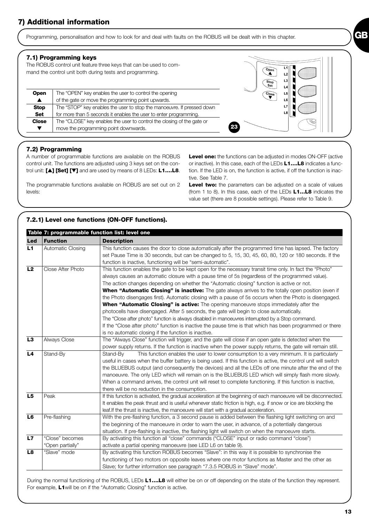Programming, personalisation and how to look for and deal with faults on the ROBUS will be dealt with in this chapter.

## **7.1) Programming keys**

The ROBUS control unit feature three keys that can be used to command the control unit both during tests and programming.

| <b>Open</b>  | The "OPEN" key enables the user to control the opening<br>of the gate or move the programming point upwards. | Close | L4<br>L5<br>L6 |  |
|--------------|--------------------------------------------------------------------------------------------------------------|-------|----------------|--|
| <b>Stop</b>  | The "STOP" key enables the user to stop the manoeuvre. If pressed down                                       |       | L7             |  |
| <b>Set</b>   | for more than 5 seconds it enables the user to enter programming.                                            |       | L8             |  |
| <b>Close</b> | The "CLOSE" key enables the user to control the closing of the gate or                                       |       |                |  |
|              | move the programming point downwards.                                                                        | 23    |                |  |

## **7.2) Programming**

A number of programmable functions are available on the ROBUS control unit. The functions are adjusted using 3 keys set on the control unit: **[**▲**] [Set] [**▼**]** and are used by means of 8 LEDs: **L1….L8**.

The programmable functions available on ROBUS are set out on 2 levels:

**Level one:** the functions can be adjusted in modes ON-OFF (active or inactive). In this case, each of the LEDs **L1….L8** indicates a function. If the LED is on, the function is active, if off the function is inactive. See Table 7.

 $\overline{\mathbf{Open}}$ 

 $\begin{array}{c}\n\begin{array}{c}\n1 \\
2\n\end{array}\n\end{array}$ 

**Level two:** the parameters can be adjusted on a scale of values (from 1 to 8). In this case, each of the LEDs **L1…L8** indicates the value set (there are 8 possible settings). Please refer to Table 9.

## **7.2.1) Level one functions (ON-OFF functions).**

|                |                   | Table 7: programmable function list: level one                                                                   |
|----------------|-------------------|------------------------------------------------------------------------------------------------------------------|
| Led            | <b>Function</b>   | <b>Description</b>                                                                                               |
| L1             | Automatic Closing | This function causes the door to close automatically after the programmed time has lapsed. The factory           |
|                |                   | set Pause Time is 30 seconds, but can be changed to 5, 15, 30, 45, 60, 80, 120 or 180 seconds. If the            |
|                |                   | function is inactive, functioning will be "semi-automatic".                                                      |
| L2             | Close After Photo | "This function enables the gate to be kept open for the necessary transit time only. In fact the "Photo"         |
|                |                   | always causes an automatic closure with a pause time of 5s (regardless of the programmed value).                 |
|                |                   | The action changes depending on whether the "Automatic closing" function is active or not.                       |
|                |                   | <b>When "Automatic Closing" is inactive:</b> The gate always arrives to the totally open position (even if       |
|                |                   | the Photo disengages first). Automatic closing with a pause of 5s occurs when the Photo is disengaged.           |
|                |                   | When "Automatic Closing" is active: The opening manoeuvre stops immediately after the                            |
|                |                   | photocells have disengaged. After 5 seconds, the gate will begin to close automatically.                         |
|                |                   | The "Close after photo" function is always disabled in manoeuvres interrupted by a Stop command.                 |
|                |                   | If the "Close after photo" function is inactive the pause time is that which has been programmed or there        |
|                |                   | is no automatic closing if the function is inactive.                                                             |
| L <sub>3</sub> | Always Close      | The "Always Close" function will trigger, and the gate will close if an open gate is detected when the           |
|                |                   | power supply returns. If the function is inactive when the power supply returns, the gate will remain still.     |
| L <sub>4</sub> | Stand-By          | Stand-By<br>This function enables the user to lower consumption to a very minimum. It is particularly            |
|                |                   | useful in cases when the buffer battery is being used. If this function is active, the control unit will switch  |
|                |                   | the BLUEBUS output (and consequently the devices) and all the LEDs off one minute after the end of the           |
|                |                   | manoeuvre. The only LED which will remain on is the BLUEBUS LED which will simply flash more slowly.             |
|                |                   | When a command arrives, the control unit will reset to complete functioning. If this function is inactive,       |
|                |                   | there will be no reduction in the consumption.                                                                   |
| L <sub>5</sub> | Peak              | If this function is activated, the gradual acceleration at the beginning of each manoeuvre will be disconnected. |
|                |                   | It enables the peak thrust and is useful whenever static friction is high, e.g. if snow or ice are blocking the  |
|                |                   | leaf. If the thrust is inactive, the manoeuvre will start with a gradual acceleration.                           |
| L6             | Pre-flashing      | With the pre-flashing function, a 3 second pause is added between the flashing light switching on and            |
|                |                   | the beginning of the manoeuvre in order to warn the user, in advance, of a potentially dangerous                 |
|                |                   | situation. If pre-flashing is inactive, the flashing light will switch on when the manoeuvre starts.             |
| L7             | "Close" becomes   | By activating this function all "close" commands ("CLOSE" input or radio command "close")                        |
|                | "Open partially"  | activate a partial opening manoeuvre (see LED L6 on table 9).                                                    |
| L8             | "Slave" mode      | By activating this function ROBUS becomes "Slave": in this way it is possible to synchronise the                 |
|                |                   | functioning of two motors on opposite leaves where one motor functions as Master and the other as                |
|                |                   | Slave; for further information see paragraph "7.3.5 ROBUS in "Slave" mode".                                      |
|                |                   |                                                                                                                  |

During the normal functioning of the ROBUS, LEDs **L1….L8** will either be on or off depending on the state of the function they represent. For example, **L1**will be on if the "Automatic Closing" function is active.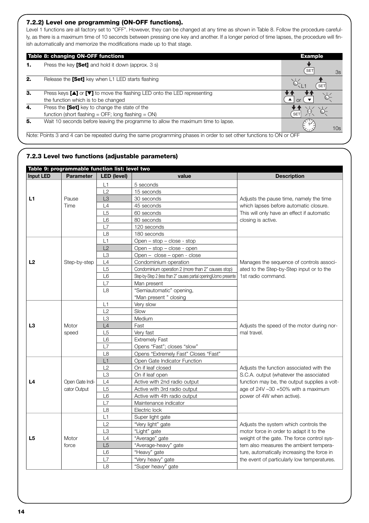## **7.2.2) Level one programming (ON-OFF functions).**

Level 1 functions are all factory set to "OFF". However, they can be changed at any time as shown in Table 8. Follow the procedure carefully, as there is a maximum time of 10 seconds between pressing one key and another. If a longer period of time lapses, the procedure will finish automatically and memorize the modifications made up to that stage.

|    | Table 8: changing ON-OFF functions                                                                                   | <b>Example</b>   |
|----|----------------------------------------------------------------------------------------------------------------------|------------------|
|    | Press the key <b>[Set]</b> and hold it down (approx. 3 s)                                                            | <b>SET</b><br>3s |
| 2. | Release the [Set] key when L1 LED starts flashing                                                                    | SE <sub>1</sub>  |
| 3. | Press keys [▲] or [▼] to move the flashing LED onto the LED representing                                             |                  |
|    | the function which is to be changed                                                                                  |                  |
| 4. | Press the [Set] key to change the state of the                                                                       |                  |
|    | function (short flashing = $\text{OFF}$ ; long flashing = $\text{ON}$ )                                              | <b>SET</b>       |
| 5. | Wait 10 seconds before leaving the programme to allow the maximum time to lapse.                                     | 10 <sub>s</sub>  |
|    | Note: Points 3 and 4 can be repeated during the same programming phases in order to set other functions to ON or OFF |                  |

## **7.2.3 Level two functions (adjustable parameters)**

| Table 9: programmable function list: level two |                  |                |                                                                   |                                              |  |  |
|------------------------------------------------|------------------|----------------|-------------------------------------------------------------------|----------------------------------------------|--|--|
| <b>Input LED</b>                               | <b>Parameter</b> | LED (level)    | value                                                             | <b>Description</b>                           |  |  |
|                                                |                  | L1             | 5 seconds                                                         |                                              |  |  |
|                                                |                  | L2             | 15 seconds                                                        |                                              |  |  |
| L1                                             | Pause            | L <sub>3</sub> | 30 seconds                                                        | Adjusts the pause time, namely the time      |  |  |
|                                                | Time             | L4             | 45 seconds                                                        | which lapses before automatic closure.       |  |  |
|                                                |                  | L <sub>5</sub> | 60 seconds                                                        | This will only have an effect if automatic   |  |  |
|                                                |                  | L <sub>6</sub> | 80 seconds                                                        | closing is active.                           |  |  |
|                                                |                  | L7             | 120 seconds                                                       |                                              |  |  |
|                                                |                  | L8             | 180 seconds                                                       |                                              |  |  |
|                                                |                  | L1             | Open - stop - close - stop                                        |                                              |  |  |
|                                                |                  | L2             | Open - stop - close - open                                        |                                              |  |  |
|                                                |                  | L <sub>3</sub> | Open - close - open - close                                       |                                              |  |  |
| L <sub>2</sub>                                 | Step-by-step     | L4             | Condominium operation                                             | Manages the sequence of controls associ-     |  |  |
|                                                |                  | L <sub>5</sub> | Condominium operation 2 (more than 2" causes stop)                | ated to the Step-by-Step input or to the     |  |  |
|                                                |                  | L <sub>6</sub> | Step-by-Step 2 (less than 2" causes partial opening)Uomo presente | 1st radio command.                           |  |  |
|                                                |                  | L7             | Man present                                                       |                                              |  |  |
|                                                |                  | L <sub>8</sub> | "Semiautomatic" opening,                                          |                                              |  |  |
|                                                |                  |                | "Man present " closing                                            |                                              |  |  |
|                                                |                  | L1             | Very slow                                                         |                                              |  |  |
|                                                |                  | L2             | Slow                                                              |                                              |  |  |
|                                                |                  | L3             | Medium                                                            |                                              |  |  |
| L <sub>3</sub>                                 | Motor            | L4             | Fast                                                              | Adjusts the speed of the motor during nor-   |  |  |
|                                                | speed            | L5             | Very fast                                                         | mal travel.                                  |  |  |
|                                                |                  | L <sub>6</sub> | <b>Extremely Fast</b>                                             |                                              |  |  |
|                                                |                  | L7             | Opens "Fast"; closes "slow"                                       |                                              |  |  |
|                                                |                  | L8             | Opens "Extremely Fast" Closes "Fast"                              |                                              |  |  |
|                                                |                  | L1             | Open Gate Indicator Function                                      |                                              |  |  |
|                                                |                  | L2             | On if leaf closed                                                 | Adjusts the function associated with the     |  |  |
|                                                |                  | L <sub>3</sub> | On if leaf open                                                   | S.C.A. output (whatever the associated       |  |  |
| L4                                             | Open Gate Indi-  | L4             | Active with 2nd radio output                                      | function may be, the output supplies a volt- |  |  |
|                                                | cator Output     | L <sub>5</sub> | Active with 3rd radio output                                      | age of 24V -30 +50% with a maximum           |  |  |
|                                                |                  | L <sub>6</sub> | Active with 4th radio output                                      | power of 4W when active).                    |  |  |
|                                                |                  | L7             | Maintenance indicator                                             |                                              |  |  |
|                                                |                  | L8             | Electric lock                                                     |                                              |  |  |
|                                                |                  | L1             | Super light gate                                                  |                                              |  |  |
|                                                |                  | L2             | "Very light" gate                                                 | Adjusts the system which controls the        |  |  |
|                                                |                  | L3             | "Light" gate                                                      | motor force in order to adapt it to the      |  |  |
| L <sub>5</sub>                                 | Motor            | L4             | "Average" gate                                                    | weight of the gate. The force control sys-   |  |  |
|                                                | force            | L <sub>5</sub> | "Average-heavy" gate                                              | tem also measures the ambient tempera-       |  |  |
|                                                |                  | L <sub>6</sub> | "Heavy" gate                                                      | ture, automatically increasing the force in  |  |  |
|                                                |                  | L7             | "Very heavy" gate                                                 | the event of particularly low temperatures.  |  |  |
|                                                |                  | L8             | "Super heavy" gate                                                |                                              |  |  |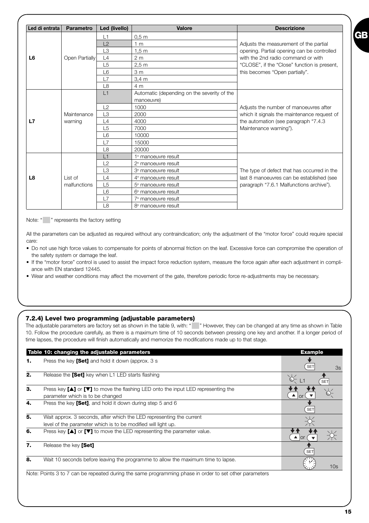| Led di entrata | <b>Parametro</b> | Led (livello)  | <b>Valore</b>                               | <b>Descrizione</b>                           |
|----------------|------------------|----------------|---------------------------------------------|----------------------------------------------|
|                |                  | L1             | 0.5 <sub>m</sub>                            |                                              |
|                |                  | L2             | 1 <sub>m</sub>                              | Adjusts the measurement of the partial       |
|                |                  | L <sub>3</sub> | 1.5 <sub>m</sub>                            | opening. Partial opening can be controlled   |
| L <sub>6</sub> | Open Partially   | L4             | 2 <sub>m</sub>                              | with the 2nd radio command or with           |
|                |                  | L5             | 2.5 <sub>m</sub>                            | "CLOSE", if the "Close" function is present, |
|                |                  | L <sub>6</sub> | 3 <sub>m</sub>                              | this becomes "Open partially".               |
|                |                  | L7             | $3,4 \text{ m}$                             |                                              |
|                |                  | L8             | 4 <sub>m</sub>                              |                                              |
|                |                  | L1             | Automatic (depending on the severity of the |                                              |
|                |                  |                | manoeuvre)                                  |                                              |
|                |                  | L2             | 1000                                        | Adjusts the number of manoeuvres after       |
|                | Maintenance      | L <sub>3</sub> | 2000                                        | which it signals the maintenance request of  |
| L7             | warning          | L4             | 4000                                        | the automation (see paragraph "7.4.3"        |
|                |                  | L <sub>5</sub> | 7000                                        | Maintenance warning").                       |
|                |                  | L <sub>6</sub> | 10000                                       |                                              |
|                |                  | L7             | 15000                                       |                                              |
|                |                  | L8             | 20000                                       |                                              |
|                |                  | L1             | 1 <sup>ª</sup> manoeuvre result             |                                              |
|                |                  | L2             | $2a$ manoeuvre result                       |                                              |
|                |                  | L <sub>3</sub> | 3 <sup>ª</sup> manoeuvre result             | The type of defect that has occurred in the  |
| L8             | List of          | L4             | $4a$ manoeuvre result                       | last 8 manoeuvres can be established (see    |
|                | malfunctions     | L <sub>5</sub> | 5 <sup>ª</sup> manoeuvre result             | paragraph "7.6.1 Malfunctions archive").     |
|                |                  | L <sub>6</sub> | 6 <sup>ª</sup> manoeuvre result             |                                              |
|                |                  | L7             | $7a$ manoeuvre result                       |                                              |
|                |                  | L <sub>8</sub> | 8 <sup>ª</sup> manoeuvre result             |                                              |

Note: " " represents the factory setting

All the parameters can be adjusted as required without any contraindication; only the adjustment of the "motor force" could require special care:

- Do not use high force values to compensate for points of abnormal friction on the leaf. Excessive force can compromise the operation of the safety system or damage the leaf.
- If the "motor force" control is used to assist the impact force reduction system, measure the force again after each adjustment in compliance with EN standard 12445.
- Wear and weather conditions may affect the movement of the gate, therefore periodic force re-adjustments may be necessary.

### **7.2.4) Level two programming (adjustable parameters)**

The adjustable parameters are factory set as shown in the table 9, with: " " However, they can be changed at any time as shown in Table 10. Follow the procedure carefully, as there is a maximum time of 10 seconds between pressing one key and another. If a longer period of time lapses, the procedure will finish automatically and memorize the modifications made up to that stage.

|    | Table 10: changing the adjustable parameters                                                                                                                                                                                        | <b>Example</b>         |
|----|-------------------------------------------------------------------------------------------------------------------------------------------------------------------------------------------------------------------------------------|------------------------|
| 1. | Press the key [Set] and hold it down (approx. 3 s                                                                                                                                                                                   | SET<br>3s              |
| 2. | Release the [Set] key when L1 LED starts flashing                                                                                                                                                                                   | `6-<br>Æ<br><b>SET</b> |
| 3. | Press key [ $\blacktriangle$ ] or $[\blacktriangledown]$ to move the flashing LED onto the input LED representing the<br>parameter which is to be changed                                                                           | $\Omega$               |
| 4. | Press the key [Set], and hold it down during step 5 and 6                                                                                                                                                                           | <b>SET</b>             |
| 5. | Wait approx. 3 seconds, after which the LED representing the current<br>level of the parameter which is to be modified will light up.                                                                                               |                        |
| 6. | Press key $[\triangle]$ or $[\triangledown]$ to move the LED representing the parameter value.                                                                                                                                      | $\triangle$ or         |
| 7. | Release the key [Set]                                                                                                                                                                                                               | <b>SET</b>             |
| 8. | Wait 10 seconds before leaving the programme to allow the maximum time to lapse.                                                                                                                                                    | 10 <sub>s</sub>        |
|    | <b>Alternative College in the collection of the second collection of the collection of the collection of the collection of the collection of the collection of the collection of the collection of the collection of the collec</b> |                        |

Note: Points 3 to 7 can be repeated during the same programming phase in order to set other parameters

**GB**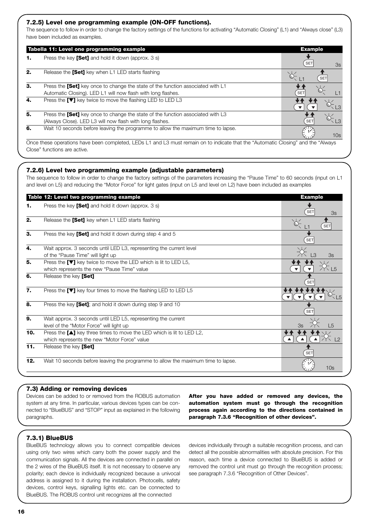## **7.2.5) Level one programming example (ON-OFF functions).**

The sequence to follow in order to change the factory settings of the functions for activating "Automatic Closing" (L1) and "Always close" (L3) have been included as examples.

|    | Tabella 11: Level one programming example                                                                                         | <b>Example</b>   |
|----|-----------------------------------------------------------------------------------------------------------------------------------|------------------|
| 1. | Press the key <b>[Set]</b> and hold it down (approx. 3 s)                                                                         | <b>SET</b><br>3s |
| 2. | Release the [Set] key when L1 LED starts flashing                                                                                 | <b>SET</b>       |
| 3. | Press the <b>[Set]</b> key once to change the state of the function associated with L1                                            |                  |
|    | Automatic Closing). LED L1 will now flash with long flashes.                                                                      | <b>SET</b>       |
| 4. | Press the [▼] key twice to move the flashing LED to LED L3                                                                        |                  |
| 5. | Press the <b>[Set]</b> key once to change the state of the function associated with L3                                            |                  |
|    | (Always Close). LED L3 will now flash with long flashes.                                                                          | <b>SET</b>       |
| 6. | Wait 10 seconds before leaving the programme to allow the maximum time to lapse.                                                  | 10 <sub>s</sub>  |
|    | Once these operations have been completed. LEDs L1 and L3 must remain on to indicate that the "Automatic Closing" and the "Always |                  |

Once these operations have been completed, LEDs L1 and L3 must remain on to indicate that the "Automatic Closing" and the "Always Close" functions are active.

## **7.2.6) Level two programming example (adjustable parameters)**

The sequence to follow in order to change the factory settings of the parameters increasing the "Pause Time" to 60 seconds (input on L1 and level on L5) and reducing the "Motor Force" for light gates (input on L5 and level on L2) have been included as examples

|     | Table 12: Level two programming example                                          | <b>Example</b>  |
|-----|----------------------------------------------------------------------------------|-----------------|
| 1.  | Press the key [Set] and hold it down (approx. 3 s)                               | SET<br>3s       |
| 2.  | Release the [Set] key when L1 LED starts flashing                                | <b>SET</b>      |
| 3.  | Press the key [Set] and hold it down during step 4 and 5                         | <b>SET</b>      |
| 4.  | Wait approx. 3 seconds until LED L3, representing the current level              |                 |
|     | of the "Pause Time" will light up                                                | 3s              |
| 5.  | Press the [▼] key twice to move the LED which is lit to LED L5,                  |                 |
|     | which represents the new "Pause Time" value                                      |                 |
| 6.  | Release the key [Set]                                                            | <b>SET</b>      |
| 7.  | Press the $[\nabla]$ key four times to move the flashing LED to LED L5           |                 |
| 8.  | Press the key [Set]; and hold it down during step 9 and 10                       | <b>SET</b>      |
| 9.  | Wait approx. 3 seconds until LED L5, representing the current                    |                 |
|     | level of the "Motor Force" will light up                                         |                 |
| 10. | Press the $[\triangle]$ key three times to move the LED which is lit to LED L2,  |                 |
|     | which represents the new "Motor Force" value                                     |                 |
| 11. | Release the key [Set]                                                            | <b>SET</b>      |
| 12. | Wait 10 seconds before leaving the programme to allow the maximum time to lapse. | 10 <sub>s</sub> |
|     |                                                                                  |                 |

### **7.3) Adding or removing devices**

Devices can be added to or removed from the ROBUS automation system at any time. In particular, various devices types can be connected to "BlueBUS" and "STOP" input as explained in the following paragraphs.

**After you have added or removed any devices, the automation system must go through the recognition process again according to the directions contained in paragraph 7.3.6 "Recognition of other devices".**

## **7.3.1) BlueBUS**

BlueBUS technology allows you to connect compatible devices using only two wires which carry both the power supply and the communication signals. All the devices are connected in parallel on the 2 wires of the BlueBUS itself. It is not necessary to observe any polarity; each device is individually recognized because a univocal address is assigned to it during the installation. Photocells, safety devices, control keys, signalling lights etc. can be connected to BlueBUS. The ROBUS control unit recognizes all the connected

devices individually through a suitable recognition process, and can detect all the possible abnormalities with absolute precision. For this reason, each time a device connected to BlueBUS is added or removed the control unit must go through the recognition process; see paragraph 7.3.6 "Recognition of Other Devices".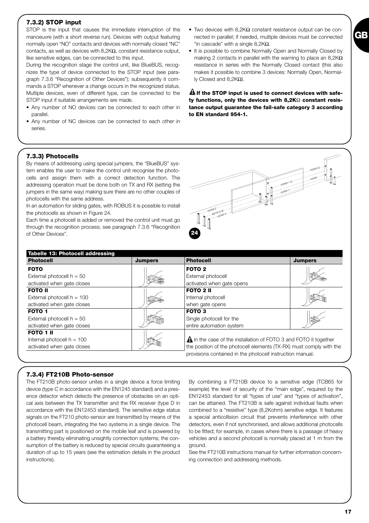## **7.3.2) STOP input**

STOP is the input that causes the immediate interruption of the manoeuvre (with a short reverse run). Devices with output featuring normally open "NO" contacts and devices with normally closed "NC" contacts, as well as devices with 8,2KΩ, constant resistance output, like sensitive edges, can be connected to this input.

During the recognition stage the control unit, like BlueBUS, recognizes the type of device connected to the STOP input (see paragraph 7.3.6 "Recognition of Other Devices"); subsequently it commands a STOP whenever a change occurs in the recognized status. Multiple devices, even of different type, can be connected to the STOP input if suitable arrangements are made.

- Any number of NO devices can be connected to each other in parallel
- Any number of NC devices can be connected to each other in series.
- Two devices with 8,2K $\Omega$  constant resistance output can be connected in parallel; if needed, multiple devices must be connected "in cascade" with a single 8.2K $\Omega$ .
- It is possible to combine Normally Open and Normally Closed by making 2 contacts in parallel with the warning to place an 8,2KΩ resistance in series with the Normally Closed contact (this also makes it possible to combine 3 devices: Normally Open, Normally Closed and 8,2KΩ).

**If the STOP input is used to connect devices with safe-! ty functions, only the devices with 8,2K**Ω **constant resistance output guarantee the fail-safe category 3 according to EN standard 954-1.**

coTC

 $.6010 + H$  $FOT^O$ 

## **7.3.3) Photocells**

By means of addressing using special jumpers, the "BlueBUS" system enables the user to make the control unit recognise the photocells and assign them with a correct detection function. The addressing operation must be done both on TX and RX (setting the jumpers in the same way) making sure there are no other couples of photocells with the same address.

In an automation for sliding gates, with ROBUS it is possible to install the photocells as shown in Figure 24.

Each time a photocell is added or removed the control unit must go through the recognition process; see paragraph 7.3.6 "Recognition of Other Devices".

| Tabelle 13: Photocell addressing                                               |                |                                                                                                                                                                                                             |                |
|--------------------------------------------------------------------------------|----------------|-------------------------------------------------------------------------------------------------------------------------------------------------------------------------------------------------------------|----------------|
| <b>Photocell</b>                                                               | <b>Jumpers</b> | <b>Photocell</b>                                                                                                                                                                                            | <b>Jumpers</b> |
| <b>FOTO</b><br>External photocell $h = 50$                                     |                | FOTO <sub>2</sub><br>External photocell                                                                                                                                                                     |                |
| activated when gate closes                                                     |                | activated when gate opens                                                                                                                                                                                   |                |
| <b>FOTO II</b><br>External photocell $h = 100$<br>activated when gate closes   |                | <b>FOTO 2 II</b><br>Internal photocell<br>when gate opens                                                                                                                                                   |                |
| FOTO 1<br>External photocell $h = 50$<br>activated when gate closes            |                | <b>FOTO 3</b><br>Single photocell for the<br>entire automation system                                                                                                                                       |                |
| <b>FOTO 1 II</b><br>Internal photocell $h = 100$<br>activated when gate closes |                | <b>A</b> in the case of the installation of FOTO 3 and FOTO II together<br>the position of the photocell elements (TX-RX) must comply with the<br>provisions contained in the photocell instruction manual. |                |

**24**

 $60^{10}$  $50^{70}$ <br> $50^{70}$ <br> $31$  $2^{17}$ 

## **7.3.4) FT210B Photo-sensor**

The FT210B photo-sensor unites in a single device a force limiting device (type C in accordance with the EN1245 standard) and a presence detector which detects the presence of obstacles on an optical axis between the TX transmitter and the RX receiver (type D in accordance with the EN12453 standard). The sensitive edge status signals on the FT210 photo-sensor are transmitted by means of the photocell beam, integrating the two systems in a single device. The transmitting part is positioned on the mobile leaf and is powered by a battery thereby eliminating unsightly connection systems; the consumption of the battery is reduced by special circuits guaranteeing a duration of up to 15 years (see the estimation details in the product instructions).

By combining a FT210B device to a sensitive edge (TCB65 for example) the level of security of the "main edge", required by the EN12453 standard for all "types of use" and "types of activation", can be attained. The FT210B is safe against individual faults when combined to a "resistive" type (8,2Kohm) sensitive edge. It features a special anticollision circuit that prevents interference with other detectors, even if not synchronised, and allows additional photocells to be fitted; for example, in cases where there is a passage of heavy vehicles and a second photocell is normally placed at 1 m from the ground.

See the FT210B instructions manual for further information concerning connection and addressing methods.

**GB**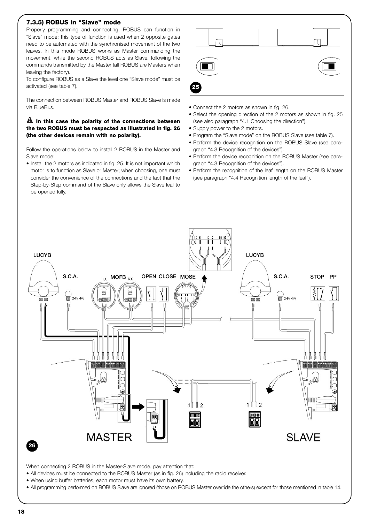## **7.3.5) ROBUS in "Slave" mode**

Properly programming and connecting, ROBUS can function in "Slave" mode; this type of function is used when 2 opposite gates need to be automated with the synchronised movement of the two leaves. In this mode ROBUS works as Master commanding the movement, while the second ROBUS acts as Slave, following the commands transmitted by the Master (all ROBUS are Masters when leaving the factory).

To configure ROBUS as a Slave the level one "Slave mode" must be activated (see table 7).

The connection between ROBUS Master and ROBUS Slave is made via BlueBus.

## **In this case the polarity of the connections between ! the two ROBUS must be respected as illustrated in fig. 26 (the other devices remain with no polarity).**

Follow the operations below to install 2 ROBUS in the Master and Slave mode:

• Install the 2 motors as indicated in fig. 25. It is not important which motor is to function as Slave or Master; when choosing, one must consider the convenience of the connections and the fact that the Step-by-Step command of the Slave only allows the Slave leaf to be opened fully.



- Connect the 2 motors as shown in fig. 26.
- Select the opening direction of the 2 motors as shown in fig. 25 (see also paragraph "4.1 Choosing the direction").
- Supply power to the 2 motors.
- Program the "Slave mode" on the ROBUS Slave (see table 7).
- Perform the device recognition on the ROBUS Slave (see paragraph "4.3 Recognition of the devices").
- Perform the device recognition on the ROBUS Master (see paragraph "4.3 Recognition of the devices").
- Perform the recognition of the leaf length on the ROBUS Master (see paragraph "4.4 Recognition length of the leaf").



When connecting 2 ROBUS in the Master-Slave mode, pay attention that:

- All devices must be connected to the ROBUS Master (as in fig. 26) including the radio receiver.
- When using buffer batteries, each motor must have its own battery.

• All programming performed on ROBUS Slave are ignored (those on ROBUS Master override the others) except for those mentioned in table 14.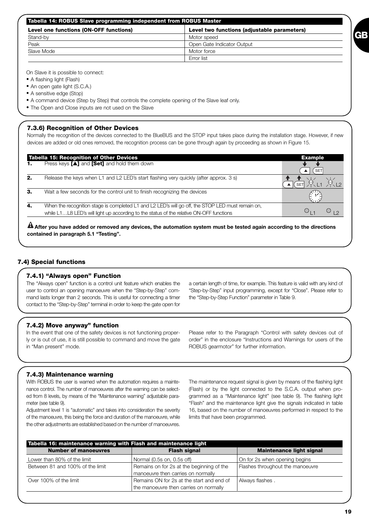| Tabella 14: ROBUS Slave programming independent from ROBUS Master                     |                            |  |
|---------------------------------------------------------------------------------------|----------------------------|--|
| Level two functions (adjustable parameters)<br>Level one functions (ON-OFF functions) |                            |  |
| Stand-by                                                                              | Motor speed                |  |
| Peak                                                                                  | Open Gate Indicator Output |  |
| Slave Mode                                                                            | Motor force                |  |
|                                                                                       | Error list                 |  |

On Slave it is possible to connect:

• A flashing light (Flash)

• An open gate light (S.C.A.)

• A sensitive edge (Stop)

- A command device (Step by Step) that controls the complete opening of the Slave leaf only.
- The Open and Close inputs are not used on the Slave

## **7.3.6) Recognition of Other Devices**

Normally the recognition of the devices connected to the BlueBUS and the STOP input takes place during the installation stage. However, if new devices are added or old ones removed, the recognition process can be gone through again by proceeding as shown in Figure 15.

|    | <b>Tabella 15: Recognition of Other Devices</b>                                                                                                                                              | <b>Example</b>  |
|----|----------------------------------------------------------------------------------------------------------------------------------------------------------------------------------------------|-----------------|
|    | Press keys $[\triangle]$ and $[Set]$ and hold them down                                                                                                                                      | SE <sub>1</sub> |
| 2. | Release the keys when L1 and L2 LED's start flashing very quickly (after approx. 3 s)                                                                                                        | <b>SET</b>      |
| З. | Wait a few seconds for the control unit to finish recognizing the devices                                                                                                                    |                 |
| 4. | When the recognition stage is completed L1 and L2 LED's will go off, the STOP LED must remain on,<br>while L1L8 LED's will light up according to the status of the relative ON-OFF functions |                 |

**After you have added or removed any devices, the automation system must be tested again according to the directions ! contained in paragraph 5.1 "Testing".**

## **7.4) Special functions**

## **7.4.1) "Always open" Function**

The "Always open" function is a control unit feature which enables the user to control an opening manoeuvre when the "Step-by-Step" command lasts longer than 2 seconds. This is useful for connecting a timer contact to the "Step-by-Step" terminal in order to keep the gate open for

a certain length of time, for example. This feature is valid with any kind of "Step-by-Step" input programming, except for "Close". Please refer to the "Step-by-Step Function" parameter in Table 9.

### **7.4.2) Move anyway" function**

In the event that one of the safety devices is not functioning properly or is out of use, it is still possible to command and move the gate in "Man present" mode.

Please refer to the Paragraph "Control with safety devices out of order" in the enclosure "Instructions and Warnings for users of the ROBUS gearmotor" for further information.

### **7.4.3) Maintenance warning**

With ROBUS the user is warned when the automation requires a maintenance control. The number of manoeuvres after the warning can be selected from 8 levels, by means of the "Maintenance warning" adjustable parameter (see table 9).

Adjustment level 1 is "automatic" and takes into consideration the severity of the manoeuvre, this being the force and duration of the manoeuvre, while the other adjustments are established based on the number of manoeuvres.

The maintenance request signal is given by means of the flashing light (Flash) or by the light connected to the S.C.A. output when programmed as a "Maintenance light" (see table 9). The flashing light "Flash" and the maintenance light give the signals indicated in table 16, based on the number of manoeuvres performed in respect to the limits that have been programmed.

| Tabella 16: maintenance warning with Flash and maintenance light |                                           |                                  |  |  |
|------------------------------------------------------------------|-------------------------------------------|----------------------------------|--|--|
| <b>Number of manoeuvres</b>                                      | <b>Flash signal</b>                       | <b>Maintenance light signal</b>  |  |  |
| Lower than 80% of the limit                                      | Normal (0.5s on, 0.5s off)                | On for 2s when opening begins    |  |  |
| Between 81 and 100% of the limit                                 | Remains on for 2s at the beginning of the | Flashes throughout the manoeuvre |  |  |
|                                                                  | manoeuvre then carries on normally        |                                  |  |  |
| Over 100% of the limit                                           | Remains ON for 2s at the start and end of | Always flashes.                  |  |  |
|                                                                  | the manoeuvre then carries on normally    |                                  |  |  |

**GB**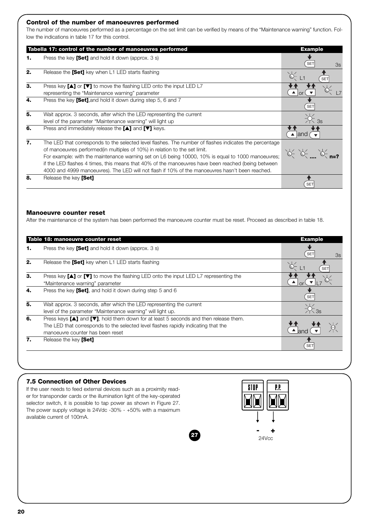## **Control of the number of manoeuvres performed**

The number of manoeuvres performed as a percentage on the set limit can be verified by means of the "Maintenance warning" function. Follow the indications in table 17 for this control.

|    | Tabella 17: control of the number of manoeuvres performed                                                                                                                                                                                                                                                                                                                                                                                                                                          | <b>Example</b>        |
|----|----------------------------------------------------------------------------------------------------------------------------------------------------------------------------------------------------------------------------------------------------------------------------------------------------------------------------------------------------------------------------------------------------------------------------------------------------------------------------------------------------|-----------------------|
| 1. | Press the key [Set] and hold it down (approx. 3 s)                                                                                                                                                                                                                                                                                                                                                                                                                                                 | <b>SET</b><br>3s      |
| 2. | Release the [Set] key when L1 LED starts flashing                                                                                                                                                                                                                                                                                                                                                                                                                                                  | $Q$ $L$<br><b>SET</b> |
| 3. | Press key [▲] or [▼] to move the flashing LED onto the input LED L7<br>representing the "Maintenance warning" parameter                                                                                                                                                                                                                                                                                                                                                                            |                       |
| 4. | Press the key [Set], and hold it down during step 5, 6 and 7                                                                                                                                                                                                                                                                                                                                                                                                                                       | <b>SET</b>            |
| 5. | Wait approx. 3 seconds, after which the LED representing the current<br>level of the parameter "Maintenance warning" will light up                                                                                                                                                                                                                                                                                                                                                                 |                       |
| 6. | Press and immediately release the $[\triangle]$ and $[\triangledown]$ keys.                                                                                                                                                                                                                                                                                                                                                                                                                        | $\triangle$ and       |
| 7. | The LED that corresponds to the selected level flashes. The number of flashes indicates the percentage<br>of manoeuvres performed(in multiples of 10%) in relation to the set limit.<br>For example: with the maintenance warning set on L6 being 10000, 10% is equal to 1000 manoeuvres;<br>if the LED flashes 4 times, this means that 40% of the manoeuvres have been reached (being between<br>4000 and 4999 manoeuvres). The LED will not flash if 10% of the manoeuvres hasn't been reached. |                       |
| 8. | Release the key [Set]                                                                                                                                                                                                                                                                                                                                                                                                                                                                              | SE <sub>1</sub>       |

### **Manoeuvre counter reset**

After the maintenance of the system has been performed the manoeuvre counter must be reset. Proceed as described in table 18.

| Press the key [Set] and hold it down (approx. 3 s)                                                                                                                                                                                      |            |
|-----------------------------------------------------------------------------------------------------------------------------------------------------------------------------------------------------------------------------------------|------------|
|                                                                                                                                                                                                                                         | SET<br>3s  |
| Release the [Set] key when L1 LED starts flashing                                                                                                                                                                                       | <b>SET</b> |
| Press key [▲] or [▼] to move the flashing LED onto the input LED L7 representing the<br>"Maintenance warning" parameter                                                                                                                 |            |
| Press the key [Set], and hold it down during step 5 and 6                                                                                                                                                                               | <b>SET</b> |
| Wait approx. 3 seconds, after which the LED representing the current<br>level of the parameter "Maintenance warning" will light up.                                                                                                     |            |
| Press keys $[\triangle]$ and $[\triangledown]$ , hold them down for at least 5 seconds and then release them.<br>The LED that corresponds to the selected level flashes rapidly indicating that the<br>manoeuvre counter has been reset |            |
| Release the key [Set]                                                                                                                                                                                                                   | <b>SET</b> |
|                                                                                                                                                                                                                                         |            |

### **7.5 Connection of Other Devices**

If the user needs to feed external devices such as a proximity reader for transponder cards or the illumination light of the key-operated selector switch, it is possible to tap power as shown in Figure 27. The power supply voltage is 24Vdc -30% - +50% with a maximum available current of 100mA.

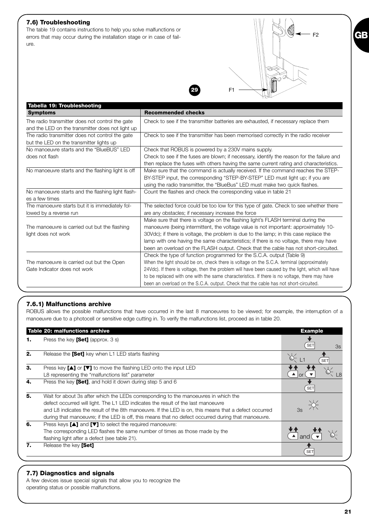## **7.6) Troubleshooting**

The table 19 contains instructions to help you solve malfunctions or errors that may occur during the installation stage or in case of failure.

| Tabella 19: Troubleshooting                       |                                                                                                   |
|---------------------------------------------------|---------------------------------------------------------------------------------------------------|
| <b>Symptoms</b>                                   | <b>Recommended checks</b>                                                                         |
| The radio transmitter does not control the gate   | Check to see if the transmitter batteries are exhausted, if necessary replace them                |
| and the LED on the transmitter does not light up  |                                                                                                   |
| The radio transmitter does not control the gate   | Check to see if the transmitter has been memorised correctly in the radio receiver                |
| but the LED on the transmitter lights up          |                                                                                                   |
| No manoeuvre starts and the "BlueBUS" LED         | Check that ROBUS is powered by a 230V mains supply.                                               |
| does not flash                                    | Check to see if the fuses are blown; if necessary, identify the reason for the failure and        |
|                                                   | then replace the fuses with others having the same current rating and characteristics.            |
| No manoeuvre starts and the flashing light is off | Make sure that the command is actually received. If the command reaches the STEP-                 |
|                                                   | BY-STEP input, the corresponding "STEP-BY-STEP" LED must light up; if you are                     |
|                                                   | using the radio transmitter, the "BlueBus" LED must make two quick flashes.                       |
| No manoeuvre starts and the flashing light flash- | Count the flashes and check the corresponding value in table 21                                   |
| es a few times                                    |                                                                                                   |
| The manoeuvre starts but it is immediately fol-   | The selected force could be too low for this type of gate. Check to see whether there             |
| lowed by a reverse run                            | are any obstacles; if necessary increase the force                                                |
|                                                   | Make sure that there is voltage on the flashing light's FLASH terminal during the                 |
| The manoeuvre is carried out but the flashing     | manoeuvre (being intermittent, the voltage value is not important: approximately 10-              |
| light does not work                               | 30Vdc); if there is voltage, the problem is due to the lamp; in this case replace the             |
|                                                   | lamp with one having the same characteristics; if there is no voltage, there may have             |
|                                                   | been an overload on the FLASH output. Check that the cable has not short-circuited.               |
|                                                   | Check the type of function programmed for the S.C.A. output (Table 9)                             |
| The manoeuvre is carried out but the Open         | When the light should be on, check there is voltage on the S.C.A. terminal (approximately         |
| Gate Indicator does not work                      | 24Vdc). If there is voltage, then the problem will have been caused by the light, which will have |
|                                                   | to be replaced with one with the same characteristics. If there is no voltage, there may have     |
|                                                   | been an overload on the S.C.A. output. Check that the cable has not short-circuited.              |

## **7.6.1) Malfunctions archive**

ROBUS allows the possible malfunctions that have occurred in the last 8 manoeuvres to be viewed; for example, the interruption of a manoeuvre due to a photocell or sensitive edge cutting in. To verify the malfunctions list, proceed as in table 20.

|    | Table 20: malfunctions archive                                                                        | <b>Example</b>   |
|----|-------------------------------------------------------------------------------------------------------|------------------|
|    | Press the key $[Set]$ (approx. 3 s)                                                                   | <b>SET</b><br>3s |
| 2. | Release the [Set] key when L1 LED starts flashing                                                     | <b>SET</b>       |
| 3. | Press key [▲] or [▼] to move the flashing LED onto the input LED                                      |                  |
|    | L8 representing the "malfunctions list" parameter                                                     |                  |
| 4. | Press the key [Set], and hold it down during step 5 and 6                                             | <b>SET</b>       |
| 5. | Wait for about 3s after which the LEDs corresponding to the manoeuvres in which the                   |                  |
|    | defect occurred will light. The L1 LED indicates the result of the last manoeuvre                     |                  |
|    | and L8 indicates the result of the 8th manoeuvre. If the LED is on, this means that a defect occurred |                  |
|    | during that manoeuvre; if the LED is off, this means that no defect occurred during that manoeuvre.   |                  |
| 6. | Press keys $[\triangle]$ and $[\triangledown]$ to select the required manoeuvre:                      |                  |
|    | The corresponding LED flashes the same number of times as those made by the                           |                  |
|    | flashing light after a defect (see table 21).                                                         |                  |
| 7. | Release the key [Set]                                                                                 | <b>SET</b>       |

## **7.7) Diagnostics and signals**

A few devices issue special signals that allow you to recognize the operating status or possible malfunctions.

F2



 $F1 -$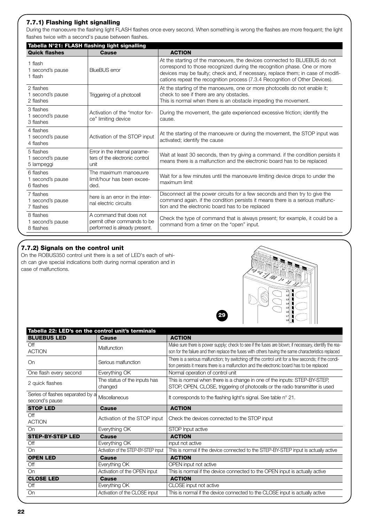## **7.7.1) Flashing light signalling**

During the manoeuvre the flashing light FLASH flashes once every second. When something is wrong the flashes are more frequent; the light flashes twice with a second's pause between flashes.

| Tabella N°21: FLASH flashing light signalling |                                                                                         |                                                                                                                                                                                                                                                                                                                           |  |  |
|-----------------------------------------------|-----------------------------------------------------------------------------------------|---------------------------------------------------------------------------------------------------------------------------------------------------------------------------------------------------------------------------------------------------------------------------------------------------------------------------|--|--|
| <b>Quick flashes</b>                          | Cause                                                                                   | <b>ACTION</b>                                                                                                                                                                                                                                                                                                             |  |  |
| 1 flash<br>1 second's pause<br>1 flash        | <b>BlueBUS</b> error                                                                    | At the starting of the manoeuvre, the devices connected to BLUEBUS do not<br>correspond to those recognized during the recognition phase. One or more<br>devices may be faulty; check and, if necessary, replace them; in case of modifi-<br>cations repeat the recognition process (7.3.4 Recognition of Other Devices). |  |  |
| 2 flashes<br>1 second's pause<br>2 flashes    | Triggering of a photocell                                                               | At the starting of the manoeuvre, one or more photocells do not enable it;<br>check to see if there are any obstacles.<br>This is normal when there is an obstacle impeding the movement.                                                                                                                                 |  |  |
| 3 flashes<br>1 second's pause<br>3 flashes    | Activation of the "motor for-<br>ce" limiting device                                    | During the movement, the gate experienced excessive friction; identify the<br>cause.                                                                                                                                                                                                                                      |  |  |
| 4 flashes<br>1 second's pause<br>4 flashes    | Activation of the STOP input                                                            | At the starting of the manoeuvre or during the movement, the STOP input was<br>activated; identify the cause                                                                                                                                                                                                              |  |  |
| 5 flashes<br>1 second's pause<br>5 lampeggi   | Error in the internal parame-<br>ters of the electronic control<br>unit                 | Wait at least 30 seconds, then try giving a command. if the condition persists it<br>means there is a malfunction and the electronic board has to be replaced                                                                                                                                                             |  |  |
| 6 flashes<br>1 second's pause<br>6 flashes    | The maximum manoeuvre<br>limit/hour has been excee-<br>ded.                             | Wait for a few minutes until the manoeuvre limiting device drops to under the<br>maximum limit                                                                                                                                                                                                                            |  |  |
| 7 flashes<br>1 second's pause<br>7 flashes    | here is an error in the inter-<br>nal electric circuits                                 | Disconnect all the power circuits for a few seconds and then try to give the<br>command again. if the condition persists it means there is a serious malfunc-<br>tion and the electronic board has to be replaced                                                                                                         |  |  |
| 8 flashes<br>1 second's pause<br>8 flashes    | A command that does not<br>permit other commands to be<br>performed is already present. | Check the type of command that is always present; for example, it could be a<br>command from a timer on the "open" input.                                                                                                                                                                                                 |  |  |

# **7.7.2) Signals on the control unit**

On the ROBUS350 control unit there is a set of LED's each of which can give special indications both during normal operation and in case of malfunctions.



| Tabella 22: LED's on the control unit's terminals  |                                         |                                                                                                                                                                                                              |  |  |  |
|----------------------------------------------------|-----------------------------------------|--------------------------------------------------------------------------------------------------------------------------------------------------------------------------------------------------------------|--|--|--|
| <b>BLUEBUS LED</b>                                 | <b>Cause</b>                            | <b>ACTION</b>                                                                                                                                                                                                |  |  |  |
| Off<br><b>ACTION</b>                               | <b>Malfunction</b>                      | Make sure there is power supply; check to see if the fuses are blown; if necessary, identify the rea-<br>son for the failure and then replace the fuses with others having the same characteristics replaced |  |  |  |
| On                                                 | Serious malfunction                     | There is a serious malfunction; try switching off the control unit for a few seconds; if the condi-<br>tion persists it means there is a malfunction and the electronic board has to be replaced             |  |  |  |
| One flash every second                             | Everything OK                           | Normal operation of control unit                                                                                                                                                                             |  |  |  |
| 2 quick flashes                                    | The status of the inputs has<br>changed | This is normal when there is a change in one of the inputs: STEP-BY-STEP,<br>STOP, OPEN, CLOSE, triggering of photocells or the radio transmitter is used                                                    |  |  |  |
| Series of flashes separated by a<br>second's pause | Miscellaneous                           | It corresponds to the flashing light's signal. See table n° 21.                                                                                                                                              |  |  |  |
| <b>STOP LED</b>                                    | <b>Cause</b>                            | <b>ACTION</b>                                                                                                                                                                                                |  |  |  |
| Off<br><b>ACTION</b>                               | Activation of the STOP input            | Check the devices connected to the STOP input                                                                                                                                                                |  |  |  |
| On                                                 | Everything OK                           | STOP Input active                                                                                                                                                                                            |  |  |  |
| <b>STEP-BY-STEP LED</b>                            | <b>Cause</b>                            | <b>ACTION</b>                                                                                                                                                                                                |  |  |  |
| Off                                                | Everything OK                           | input not active                                                                                                                                                                                             |  |  |  |
| On                                                 | Activation of the STEP-BY-STEP input    | This is normal if the device connected to the STEP-BY-STEP input is actually active                                                                                                                          |  |  |  |
| <b>OPEN LED</b>                                    | Cause                                   | <b>ACTION</b>                                                                                                                                                                                                |  |  |  |
| Off                                                | Everything OK                           | OPEN input not active                                                                                                                                                                                        |  |  |  |
| On                                                 | Activation of the OPEN input            | This is normal if the device connected to the OPEN input is actually active                                                                                                                                  |  |  |  |
| <b>CLOSE LED</b>                                   | <b>Cause</b>                            | <b>ACTION</b>                                                                                                                                                                                                |  |  |  |
| Off                                                | Everything OK                           | CLOSE input not active                                                                                                                                                                                       |  |  |  |
| On                                                 | Activation of the CLOSE input           | This is normal if the device connected to the CLOSE input is actually active                                                                                                                                 |  |  |  |

**29**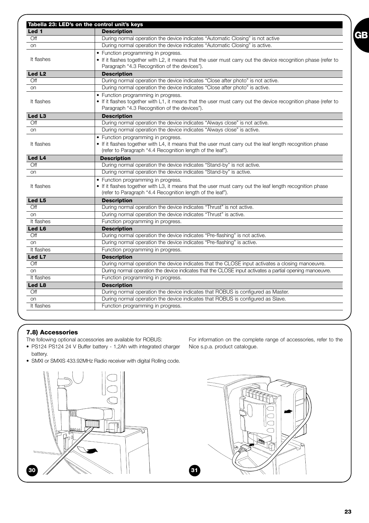|                    | Tabella 23: LED's on the control unit's keys                                                                   |  |  |
|--------------------|----------------------------------------------------------------------------------------------------------------|--|--|
| Led 1              | <b>Description</b>                                                                                             |  |  |
| Off                | During normal operation the device indicates "Automatic Closing" is not active                                 |  |  |
| on                 | During normal operation the device indicates "Automatic Closing" is active.                                    |  |  |
|                    | • Function programming in progress.                                                                            |  |  |
| It flashes         | • If it flashes together with L2, it means that the user must carry out the device recognition phase (refer to |  |  |
|                    | Paragraph "4.3 Recognition of the devices").                                                                   |  |  |
| Led L <sub>2</sub> | <b>Description</b>                                                                                             |  |  |
| Off                | During normal operation the device indicates "Close after photo" is not active.                                |  |  |
| on                 | During normal operation the device indicates "Close after photo" is active.                                    |  |  |
|                    | • Function programming in progress.                                                                            |  |  |
| It flashes         | • If it flashes together with L1, it means that the user must carry out the device recognition phase (refer to |  |  |
|                    | Paragraph "4.3 Recognition of the devices").                                                                   |  |  |
| Led L <sub>3</sub> | <b>Description</b>                                                                                             |  |  |
| Off                | During normal operation the device indicates "Always close" is not active.                                     |  |  |
| on                 | During normal operation the device indicates "Always close" is active.                                         |  |  |
|                    | • Function programming in progress.                                                                            |  |  |
| It flashes         | • If it flashes together with L4, it means that the user must carry out the leaf length recognition phase      |  |  |
|                    | (refer to Paragraph "4.4 Recognition length of the leaf").                                                     |  |  |
| Led L4             | <b>Description</b>                                                                                             |  |  |
| Off                | During normal operation the device indicates "Stand-by" is not active.                                         |  |  |
| on                 | During normal operation the device indicates "Stand-by" is active.                                             |  |  |
|                    | • Function programming in progress.                                                                            |  |  |
| It flashes         | • If it flashes together with L3, it means that the user must carry out the leaf length recognition phase      |  |  |
|                    | (refer to Paragraph "4.4 Recognition length of the leaf").                                                     |  |  |
| Led L5             | <b>Description</b>                                                                                             |  |  |
| Off                | During normal operation the device indicates "Thrust" is not active.                                           |  |  |
| on                 | During normal operation the device indicates "Thrust" is active.                                               |  |  |
| It flashes         | Function programming in progress.                                                                              |  |  |
| Led L6             | <b>Description</b>                                                                                             |  |  |
| Off                | During normal operation the device indicates "Pre-flashing" is not active.                                     |  |  |
| <b>on</b>          | During normal operation the device indicates "Pre-flashing" is active.                                         |  |  |
| It flashes         | Function programming in progress.                                                                              |  |  |
| Led L7             | <b>Description</b>                                                                                             |  |  |
| Off                | During normal operation the device indicates that the CLOSE input activates a closing manoeuvre.               |  |  |
| on                 | During normal operation the device indicates that the CLOSE input activates a partial opening manoeuvre.       |  |  |
| It flashes         | Function programming in progress.                                                                              |  |  |
| Led L8             | <b>Description</b>                                                                                             |  |  |
| Off                | During normal operation the device indicates that ROBUS is configured as Master.                               |  |  |
| on                 | During normal operation the device indicates that ROBUS is configured as Slave.                                |  |  |
| It flashes         | Function programming in progress.                                                                              |  |  |
|                    |                                                                                                                |  |  |

## **7.8) Accessories**

The following optional accessories are available for ROBUS:

- PS124 PS124 24 V Buffer battery 1,2Ah with integrated charger battery.
- SMXI or SMXIS 433.92MHz Radio receiver with digital Rolling code.



For information on the complete range of accessories, refer to the Nice s.p.a. product catalogue.



**GB**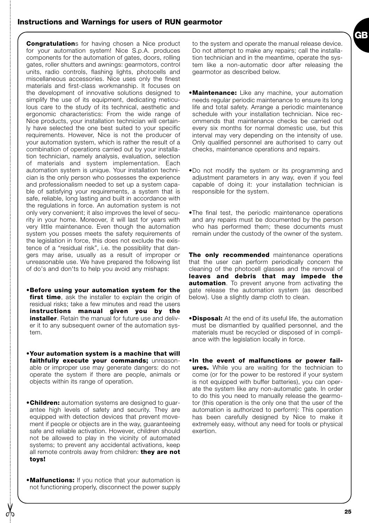# **Instructions and Warnings for users of RUN gearmotor**

**Congratulation**s for having chosen a Nice product for your automation system! Nice S.p.A. produces components for the automation of gates, doors, rolling gates, roller shutters and awnings: gearmotors, control units, radio controls, flashing lights, photocells and miscellaneous accessories. Nice uses only the finest materials and first-class workmanship. It focuses on the development of innovative solutions designed to simplify the use of its equipment, dedicating meticulous care to the study of its technical, aesthetic and ergonomic characteristics: From the wide range of Nice products, your installation technician will certainly have selected the one best suited to your specific requirements. However, Nice is not the producer of your automation system, which is rather the result of a combination of operations carried out by your installation technician, namely analysis, evaluation, selection of materials and system implementation. Each automation system is unique. Your installation technician is the only person who possesses the experience and professionalism needed to set up a system capable of satisfying your requirements, a system that is safe, reliable, long lasting and built in accordance with the regulations in force. An automation system is not only very convenient; it also improves the level of security in your home. Moreover, it will last for years with very little maintenance. Even though the automation system you posses meets the safety requirements of the legislation in force, this does not exclude the existence of a "residual risk", i.e. the possibility that dangers may arise, usually as a result of improper or unreasonable use. We have prepared the following list of do's and don'ts to help you avoid any mishaps:

- •**Before using your automation system for the first time**, ask the installer to explain the origin of residual risks; take a few minutes and read the users **instructions manual given you by the installer**. Retain the manual for future use and deliver it to any subsequent owner of the automation system.
- •**Your automation system is a machine that will faithfully execute your commands;** unreasonable or improper use may generate dangers: do not operate the system if there are people, animals or objects within its range of operation.
- •**Children:** automation systems are designed to guarantee high levels of safety and security. They are equipped with detection devices that prevent movement if people or objects are in the way, guaranteeing safe and reliable activation. However, children should not be allowed to play in the vicinity of automated systems; to prevent any accidental activations, keep all remote controls away from children: **they are not toys!**
- •**Malfunctions:** If you notice that your automation is not functioning properly, disconnect the power supply

to the system and operate the manual release device. Do not attempt to make any repairs; call the installation technician and in the meantime, operate the system like a non-automatic door after releasing the gearmotor as described below.

- •**Maintenance:** Like any machine, your automation needs regular periodic maintenance to ensure its long life and total safety. Arrange a periodic maintenance schedule with your installation technician. Nice recommends that maintenance checks be carried out every six months for normal domestic use, but this interval may very depending on the intensity of use. Only qualified personnel are authorised to carry out checks, maintenance operations and repairs.
- •Do not modify the system or its programming and adjustment parameters in any way, even if you feel capable of doing it: your installation technician is responsible for the system.
- •The final test, the periodic maintenance operations and any repairs must be documented by the person who has performed them; these documents must remain under the custody of the owner of the system.

**The only recommended** maintenance operations that the user can perform periodically concern the cleaning of the photocell glasses and the removal of **leaves and debris that may impede the automation**. To prevent anyone from activating the gate release the automation system (as described below). Use a slightly damp cloth to clean.

- •**Disposal:** At the end of its useful life, the automation must be dismantled by qualified personnel, and the materials must be recycled or disposed of in compliance with the legislation locally in force.
- •**In the event of malfunctions or power failures.** While you are waiting for the technician to come (or for the power to be restored if your system is not equipped with buffer batteries), you can operate the system like any non-automatic gate. In order to do this you need to manually release the gearmotor (this operation is the only one that the user of the automation is authorized to perform): This operation has been carefully designed by Nice to make it extremely easy, without any need for tools or physical exertion.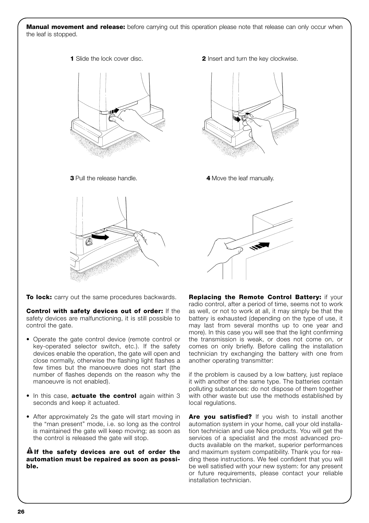**Manual movement and release:** before carrying out this operation please note that release can only occur when the leaf is stopped.





**To lock:** carry out the same procedures backwards.

**Control with safety devices out of order:** If the safety devices are malfunctioning, it is still possible to control the gate.

- Operate the gate control device (remote control or key-operated selector switch, etc.). If the safety devices enable the operation, the gate will open and close normally, otherwise the flashing light flashes a few times but the manoeuvre does not start (the number of flashes depends on the reason why the manoeuvre is not enabled).
- In this case, **actuate the control** again within 3 seconds and keep it actuated.
- After approximately 2s the gate will start moving in the "man present" mode, i.e. so long as the control is maintained the gate will keep moving; as soon as the control is released the gate will stop.

## **If the safety devices are out of order the ! automation must be repaired as soon as possible.**





**3** Pull the release handle. **4** Move the leaf manually.



**Replacing the Remote Control Battery:** if your radio control, after a period of time, seems not to work as well, or not to work at all, it may simply be that the battery is exhausted (depending on the type of use, it may last from several months up to one year and more). In this case you will see that the light confirming the transmission is weak, or does not come on, or comes on only briefly. Before calling the installation technician try exchanging the battery with one from another operating transmitter:

if the problem is caused by a low battery, just replace it with another of the same type. The batteries contain polluting substances: do not dispose of them together with other waste but use the methods established by local regulations.

Are you satisfied? If you wish to install another automation system in your home, call your old installation technician and use Nice products. You will get the services of a specialist and the most advanced products available on the market, superior performances and maximum system compatibility. Thank you for reading these instructions. We feel confident that you will be well satisfied with your new system: for any present or future requirements, please contact your reliable installation technician.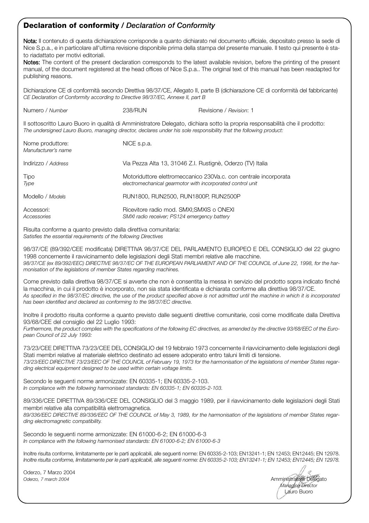# **Declaration of conformity** */ Declaration of Conformity*

Nota: Il contenuto di questa dichiarazione corrisponde a quanto dichiarato nel documento ufficiale, depositato presso la sede di Nice S.p.a., e in particolare all'ultima revisione disponibile prima della stampa del presente manuale. Il testo qui presente è stato riadattato per motivi editoriali.

Notes: The content of the present declaration corresponds to the latest available revision, before the printing of the present manual, of the document registered at the head offices of Nice S.p.a.. The original text of this manual has been readapted for publishing reasons.

Dichiarazione CE di conformità secondo Direttiva 98/37/CE, Allegato II, parte B (dichiarazione CE di conformità del fabbricante) *CE Declaration of Conformity according to Directive 98/37/EC, Annexe II, part B*

| Numero / Number                                                                                                    | 238/RUN                                                                                   | Revisione / Revision: 1                                                                                                      |
|--------------------------------------------------------------------------------------------------------------------|-------------------------------------------------------------------------------------------|------------------------------------------------------------------------------------------------------------------------------|
| The undersigned Lauro Buoro, managing director, declares under his sole responsibility that the following product: |                                                                                           | Il sottoscritto Lauro Buoro in qualità di Amministratore Delegato, dichiara sotto la propria responsabilità che il prodotto: |
| Nome produttore:<br>Manufacturer's name                                                                            | NICE s.p.a.                                                                               |                                                                                                                              |
| Indirizzo / Address                                                                                                | Via Pezza Alta 13, 31046 Z.I. Rustignè, Oderzo (TV) Italia                                |                                                                                                                              |
| Tipo<br>Type                                                                                                       | electromechanical gearmotor with incorporated control unit                                | Motoriduttore elettromeccanico 230Va.c. con centrale incorporata                                                             |
| Modello / Models                                                                                                   | RUN1800, RUN2500, RUN1800P, RUN2500P                                                      |                                                                                                                              |
| Accessori:<br>Accessories                                                                                          | Ricevitore radio mod. SMXI; SMXIS o ONEXI<br>SMXI radio receiver; PS124 emergency battery |                                                                                                                              |

Risulta conforme a quanto previsto dalla direttiva comunitaria: *Satisfies the essential requirements of the following Directives* 

98/37/CE (89/392/CEE modificata) DIRETTIVA 98/37/CE DEL PARLAMENTO EUROPEO E DEL CONSIGLIO del 22 giugno 1998 concernente il ravvicinamento delle legislazioni degli Stati membri relative alle macchine. *98/37/CE (ex 89/392/EEC) DIRECTIVE 98/37/EC OF THE EUROPEAN PARLIAMENT AND OF THE COUNCIL of June 22, 1998, for the harmonisation of the legislations of member States regarding machines.*

Come previsto dalla direttiva 98/37/CE si avverte che non è consentita la messa in servizio del prodotto sopra indicato finché la macchina, in cui il prodotto è incorporato, non sia stata identificata e dichiarata conforme alla direttiva 98/37/CE. *As specified in the 98/37/EC directive, the use of the product specified above is not admitted until the machine in which it is incorporated has been identified and declared as conforming to the 98/37/EC directive.*

Inoltre il prodotto risulta conforme a quanto previsto dalle seguenti direttive comunitarie, così come modificate dalla Direttiva 93/68/CEE del consiglio del 22 Luglio 1993:

*Furthermore, the product complies with the specifications of the following EC directives, as amended by the directive 93/68/EEC of the European Council of 22 July 1993:*

73/23/CEE DIRETTIVA 73/23/CEE DEL CONSIGLIO del 19 febbraio 1973 concernente il riavvicinamento delle legislazioni degli Stati membri relative al materiale elettrico destinato ad essere adoperato entro taluni limiti di tensione. *73/23/EEC DIRECTIVE 73/23/EEC OF THE COUNCIL of February 19, 1973 for the harmonisation of the legislations of member States regarding electrical equipment designed to be used within certain voltage limits.*

Secondo le seguenti norme armonizzate: EN 60335-1; EN 60335-2-103. *In compliance with the following harmonised standards: EN 60335-1; EN 60335-2-103.*

89/336/CEE DIRETTIVA 89/336/CEE DEL CONSIGLIO del 3 maggio 1989, per il riavvicinamento delle legislazioni degli Stati membri relative alla compatibilità elettromagnetica. *89/336/EEC DIRECTIVE 89/336/EEC OF THE COUNCIL of May 3, 1989, for the harmonisation of the legislations of member States regar-*

*ding electromagnetic compatibility.*

Secondo le seguenti norme armonizzate: EN 61000-6-2; EN 61000-6-3 *In compliance with the following harmonised standards: EN 61000-6-2; EN 61000-6-3*

Inoltre risulta conforme, limitatamente per le parti applicabili, alle seguenti norme: EN 60335-2-103; EN13241-1; EN 12453; EN12445; EN 12978. *Inoltre risulta conforme, limitatamente per le parti applicabili, alle seguenti norme: EN 60335-2-103; EN13241-1; EN 12453; EN12445; EN 12978.*

Oderzo, 7 Marzo 2004